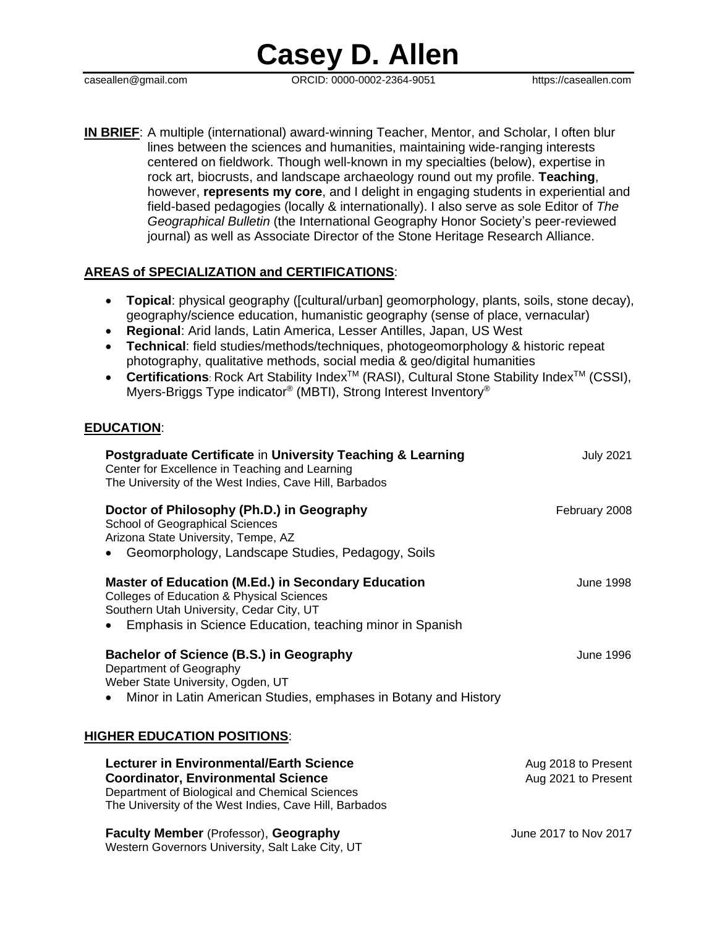caseallen@gmail.com ORCID: 0000-0002-2364-9051 https://caseallen.com

**IN BRIEF**: A multiple (international) award-winning Teacher, Mentor, and Scholar, I often blur lines between the sciences and humanities, maintaining wide-ranging interests centered on fieldwork. Though well-known in my specialties (below), expertise in rock art, biocrusts, and landscape archaeology round out my profile. **Teaching**, however, **represents my core**, and I delight in engaging students in experiential and field-based pedagogies (locally & internationally). I also serve as sole Editor of *The Geographical Bulletin* (the International Geography Honor Society's peer-reviewed journal) as well as Associate Director of the Stone Heritage Research Alliance.

### **AREAS of SPECIALIZATION and CERTIFICATIONS**:

- **Topical**: physical geography ([cultural/urban] geomorphology, plants, soils, stone decay), geography/science education, humanistic geography (sense of place, vernacular)
- **Regional**: Arid lands, Latin America, Lesser Antilles, Japan, US West
- **Technical**: field studies/methods/techniques, photogeomorphology & historic repeat photography, qualitative methods, social media & geo/digital humanities
- Certifications: Rock Art Stability Index<sup>™</sup> (RASI), Cultural Stone Stability Index<sup>™</sup> (CSSI), Myers-Briggs Type indicator® (MBTI), Strong Interest Inventory®

#### **EDUCATION**:

| Postgraduate Certificate in University Teaching & Learning<br>Center for Excellence in Teaching and Learning<br>The University of the West Indies, Cave Hill, Barbados                                                    | <b>July 2021</b>                           |
|---------------------------------------------------------------------------------------------------------------------------------------------------------------------------------------------------------------------------|--------------------------------------------|
| Doctor of Philosophy (Ph.D.) in Geography<br><b>School of Geographical Sciences</b><br>Arizona State University, Tempe, AZ<br>Geomorphology, Landscape Studies, Pedagogy, Soils                                           | February 2008                              |
| <b>Master of Education (M.Ed.) in Secondary Education</b><br><b>Colleges of Education &amp; Physical Sciences</b><br>Southern Utah University, Cedar City, UT<br>Emphasis in Science Education, teaching minor in Spanish | <b>June 1998</b>                           |
| Bachelor of Science (B.S.) in Geography<br>Department of Geography<br>Weber State University, Ogden, UT<br>Minor in Latin American Studies, emphases in Botany and History                                                | June 1996                                  |
| <u>HIGHER EDUCATION POSITIONS:</u>                                                                                                                                                                                        |                                            |
| <b>Lecturer in Environmental/Earth Science</b><br><b>Coordinator, Environmental Science</b><br>Department of Biological and Chemical Sciences<br>The University of the West Indies, Cave Hill, Barbados                   | Aug 2018 to Present<br>Aug 2021 to Present |
| <b>Faculty Member (Professor), Geography</b><br>Western Governors University, Salt Lake City, UT                                                                                                                          | June 2017 to Nov 2017                      |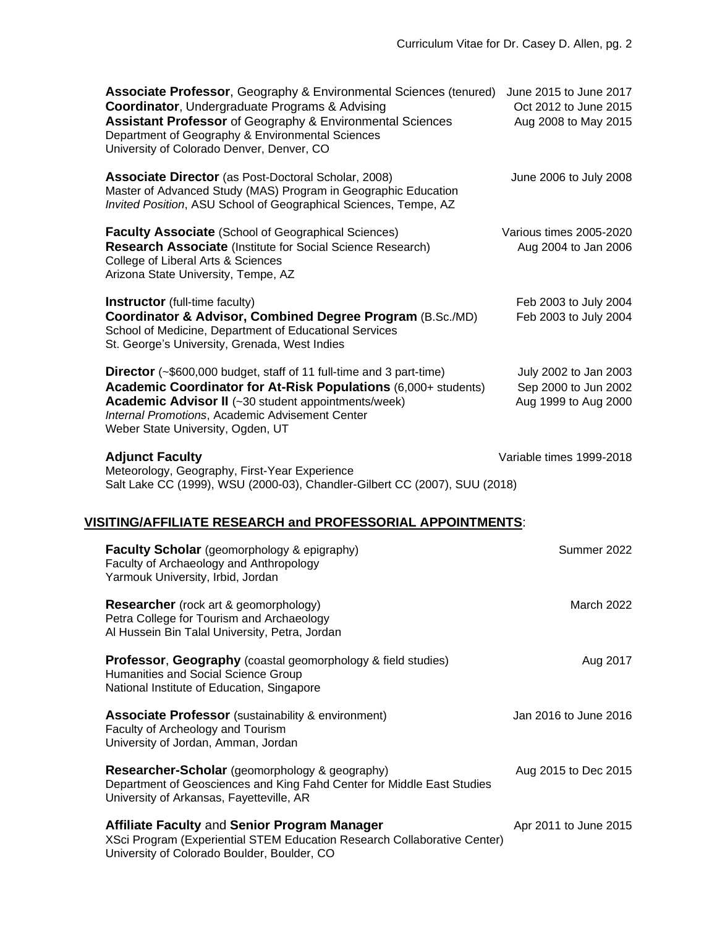| <b>Associate Professor, Geography &amp; Environmental Sciences (tenured)</b><br><b>Coordinator, Undergraduate Programs &amp; Advising</b><br><b>Assistant Professor</b> of Geography & Environmental Sciences<br>Department of Geography & Environmental Sciences<br>University of Colorado Denver, Denver, CO | June 2015 to June 2017<br>Oct 2012 to June 2015<br>Aug 2008 to May 2015 |
|----------------------------------------------------------------------------------------------------------------------------------------------------------------------------------------------------------------------------------------------------------------------------------------------------------------|-------------------------------------------------------------------------|
| <b>Associate Director</b> (as Post-Doctoral Scholar, 2008)<br>Master of Advanced Study (MAS) Program in Geographic Education<br>Invited Position, ASU School of Geographical Sciences, Tempe, AZ                                                                                                               | June 2006 to July 2008                                                  |
| <b>Faculty Associate (School of Geographical Sciences)</b><br><b>Research Associate (Institute for Social Science Research)</b><br>College of Liberal Arts & Sciences<br>Arizona State University, Tempe, AZ                                                                                                   | Various times 2005-2020<br>Aug 2004 to Jan 2006                         |
| <b>Instructor</b> (full-time faculty)<br>Coordinator & Advisor, Combined Degree Program (B.Sc./MD)<br>School of Medicine, Department of Educational Services<br>St. George's University, Grenada, West Indies                                                                                                  | Feb 2003 to July 2004<br>Feb 2003 to July 2004                          |
| <b>Director</b> (~\$600,000 budget, staff of 11 full-time and 3 part-time)<br>Academic Coordinator for At-Risk Populations (6,000+ students)<br>Academic Advisor II (~30 student appointments/week)<br>Internal Promotions, Academic Advisement Center<br>Weber State University, Ogden, UT                    | July 2002 to Jan 2003<br>Sep 2000 to Jun 2002<br>Aug 1999 to Aug 2000   |
| <b>Adjunct Faculty</b><br>Meteorology, Geography, First-Year Experience<br>Salt Lake CC (1999), WSU (2000-03), Chandler-Gilbert CC (2007), SUU (2018)                                                                                                                                                          | Variable times 1999-2018                                                |
| VISITING/AFFILIATE RESEARCH and PROFESSORIAL APPOINTMENTS:                                                                                                                                                                                                                                                     |                                                                         |
| <b>Faculty Scholar</b> (geomorphology & epigraphy)<br>Faculty of Archaeology and Anthropology<br>Yarmouk University, Irbid, Jordan                                                                                                                                                                             | Summer 2022                                                             |
| <b>Researcher</b> (rock art & geomorphology)<br>Petra College for Tourism and Archaeology<br>Al Hussein Bin Talal University, Petra, Jordan                                                                                                                                                                    | March 2022                                                              |
| <b>Professor, Geography</b> (coastal geomorphology & field studies)<br>Humanities and Social Science Group<br>National Institute of Education, Singapore                                                                                                                                                       | Aug 2017                                                                |
| <b>Associate Professor</b> (sustainability & environment)<br>Faculty of Archeology and Tourism<br>University of Jordan, Amman, Jordan                                                                                                                                                                          | Jan 2016 to June 2016                                                   |
| Researcher-Scholar (geomorphology & geography)<br>Department of Geosciences and King Fahd Center for Middle East Studies<br>University of Arkansas, Fayetteville, AR                                                                                                                                           | Aug 2015 to Dec 2015                                                    |
| <b>Affiliate Faculty and Senior Program Manager</b><br>XSci Program (Experiential STEM Education Research Collaborative Center)<br>University of Colorado Boulder, Boulder, CO                                                                                                                                 | Apr 2011 to June 2015                                                   |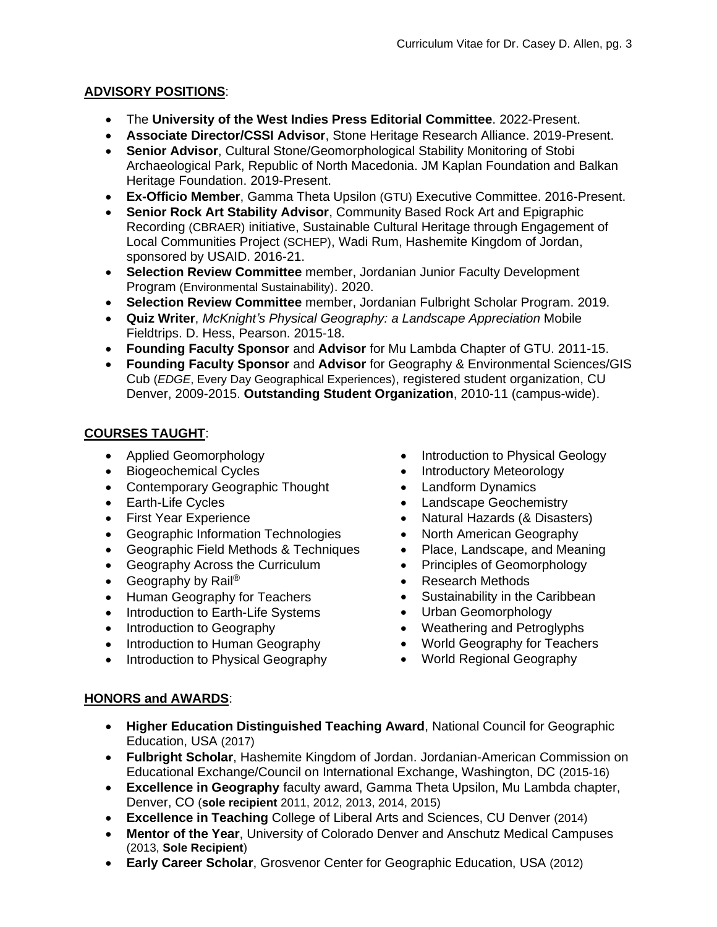# **ADVISORY POSITIONS**:

- The **University of the West Indies Press Editorial Committee**. 2022-Present.
- **Associate Director/CSSI Advisor**, Stone Heritage Research Alliance. 2019-Present.
- **Senior Advisor**, Cultural Stone/Geomorphological Stability Monitoring of Stobi Archaeological Park, Republic of North Macedonia. JM Kaplan Foundation and Balkan Heritage Foundation. 2019-Present.
- **Ex-Officio Member**, Gamma Theta Upsilon (GTU) Executive Committee. 2016-Present.
- **Senior Rock Art Stability Advisor**, Community Based Rock Art and Epigraphic Recording (CBRAER) initiative, Sustainable Cultural Heritage through Engagement of Local Communities Project (SCHEP), Wadi Rum, Hashemite Kingdom of Jordan, sponsored by USAID. 2016-21.
- **Selection Review Committee** member, Jordanian Junior Faculty Development Program (Environmental Sustainability). 2020.
- **Selection Review Committee** member, Jordanian Fulbright Scholar Program. 2019.
- **Quiz Writer**, *McKnight's Physical Geography: a Landscape Appreciation* Mobile Fieldtrips. D. Hess, Pearson. 2015-18.
- **Founding Faculty Sponsor** and **Advisor** for Mu Lambda Chapter of GTU. 2011-15.
- **Founding Faculty Sponsor** and **Advisor** for Geography & Environmental Sciences/GIS Cub (*EDGE*, Every Day Geographical Experiences), registered student organization, CU Denver, 2009-2015. **Outstanding Student Organization**, 2010-11 (campus-wide).

# **COURSES TAUGHT**:

- Applied Geomorphology
- Biogeochemical Cycles
- Contemporary Geographic Thought
- Earth-Life Cycles
- First Year Experience
- Geographic Information Technologies
- Geographic Field Methods & Techniques
- Geography Across the Curriculum
- Geography by Rail<sup>®</sup>
- Human Geography for Teachers
- Introduction to Earth-Life Systems
- Introduction to Geography
- Introduction to Human Geography
- Introduction to Physical Geography
- Introduction to Physical Geology
- Introductory Meteorology
- Landform Dynamics
- Landscape Geochemistry
- Natural Hazards (& Disasters)
- North American Geography
- Place, Landscape, and Meaning
- Principles of Geomorphology
- Research Methods
- Sustainability in the Caribbean
- Urban Geomorphology
- Weathering and Petroglyphs
- World Geography for Teachers
- World Regional Geography

# **HONORS and AWARDS**:

- **Higher Education Distinguished Teaching Award**, National Council for Geographic Education, USA (2017)
- **Fulbright Scholar**, Hashemite Kingdom of Jordan. Jordanian-American Commission on Educational Exchange/Council on International Exchange, Washington, DC (2015-16)
- **Excellence in Geography** faculty award, Gamma Theta Upsilon, Mu Lambda chapter, Denver, CO (**sole recipient** 2011, 2012, 2013, 2014, 2015)
- **Excellence in Teaching** College of Liberal Arts and Sciences, CU Denver (2014)
- **Mentor of the Year**, University of Colorado Denver and Anschutz Medical Campuses (2013, **Sole Recipient**)
- **Early Career Scholar**, Grosvenor Center for Geographic Education, USA (2012)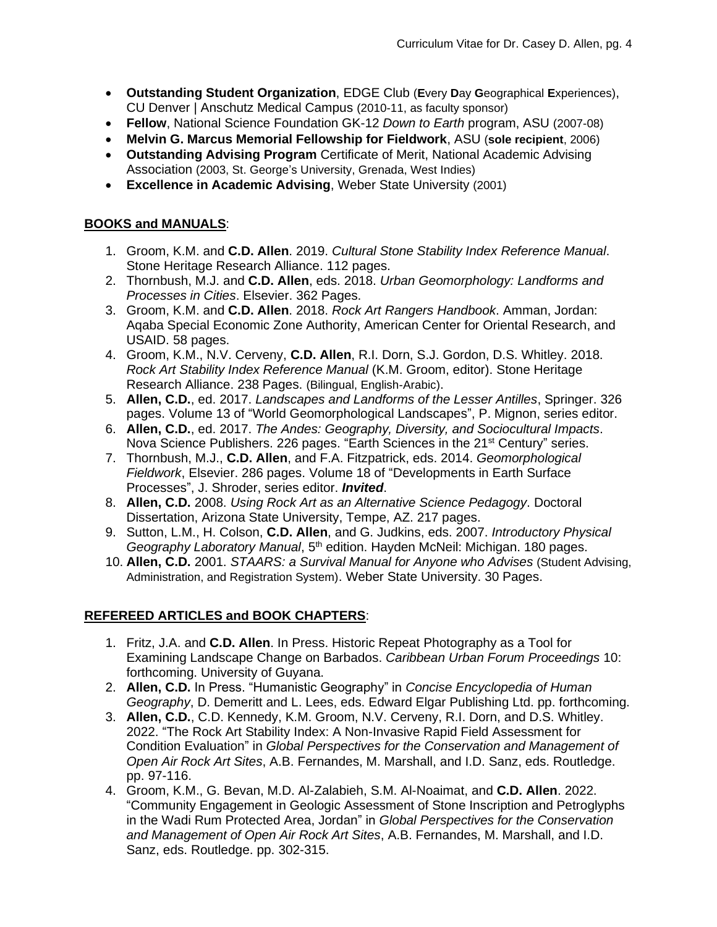- **Outstanding Student Organization**, EDGE Club (**E**very **D**ay **G**eographical **E**xperiences), CU Denver | Anschutz Medical Campus (2010-11, as faculty sponsor)
- **Fellow**, National Science Foundation GK-12 *Down to Earth* program, ASU (2007-08)
- **Melvin G. Marcus Memorial Fellowship for Fieldwork**, ASU (**sole recipient**, 2006)
- **Outstanding Advising Program** Certificate of Merit, National Academic Advising Association (2003, St. George's University, Grenada, West Indies)
- **Excellence in Academic Advising**, Weber State University (2001)

### **BOOKS and MANUALS**:

- 1. Groom, K.M. and **C.D. Allen**. 2019. *Cultural Stone Stability Index Reference Manual*. Stone Heritage Research Alliance. 112 pages.
- 2. Thornbush, M.J. and **C.D. Allen**, eds. 2018. *Urban Geomorphology: Landforms and Processes in Cities*. Elsevier. 362 Pages.
- 3. Groom, K.M. and **C.D. Allen**. 2018. *Rock Art Rangers Handbook*. Amman, Jordan: Aqaba Special Economic Zone Authority, American Center for Oriental Research, and USAID. 58 pages.
- 4. Groom, K.M., N.V. Cerveny, **C.D. Allen**, R.I. Dorn, S.J. Gordon, D.S. Whitley. 2018. *Rock Art Stability Index Reference Manual* (K.M. Groom, editor). Stone Heritage Research Alliance. 238 Pages. (Bilingual, English-Arabic).
- 5. **Allen, C.D.**, ed. 2017. *Landscapes and Landforms of the Lesser Antilles*, Springer. 326 pages. Volume 13 of "World Geomorphological Landscapes", P. Mignon, series editor.
- 6. **Allen, C.D.**, ed. 2017. *The Andes: Geography, Diversity, and Sociocultural Impacts*. Nova Science Publishers. 226 pages. "Earth Sciences in the 21<sup>st</sup> Century" series.
- 7. Thornbush, M.J., **C.D. Allen**, and F.A. Fitzpatrick, eds. 2014. *Geomorphological Fieldwork*, Elsevier. 286 pages. Volume 18 of "Developments in Earth Surface Processes", J. Shroder, series editor. *Invited*.
- 8. **Allen, C.D.** 2008. *Using Rock Art as an Alternative Science Pedagogy*. Doctoral Dissertation, Arizona State University, Tempe, AZ. 217 pages.
- 9. Sutton, L.M., H. Colson, **C.D. Allen**, and G. Judkins, eds. 2007. *Introductory Physical Geography Laboratory Manual*, 5<sup>th</sup> edition. Hayden McNeil: Michigan. 180 pages.
- 10. **Allen, C.D.** 2001. *STAARS: a Survival Manual for Anyone who Advises* (Student Advising, Administration, and Registration System). Weber State University. 30 Pages.

# **REFEREED ARTICLES and BOOK CHAPTERS**:

- 1. Fritz, J.A. and **C.D. Allen**. In Press. Historic Repeat Photography as a Tool for Examining Landscape Change on Barbados. *Caribbean Urban Forum Proceedings* 10: forthcoming. University of Guyana.
- 2. **Allen, C.D.** In Press. "Humanistic Geography" in *Concise Encyclopedia of Human Geography*, D. Demeritt and L. Lees, eds. Edward Elgar Publishing Ltd. pp. forthcoming.
- 3. **Allen, C.D.**, C.D. Kennedy, K.M. Groom, N.V. Cerveny, R.I. Dorn, and D.S. Whitley. 2022. "The Rock Art Stability Index: A Non-Invasive Rapid Field Assessment for Condition Evaluation" in *Global Perspectives for the Conservation and Management of Open Air Rock Art Sites*, A.B. Fernandes, M. Marshall, and I.D. Sanz, eds. Routledge. pp. 97-116.
- 4. Groom, K.M., G. Bevan, M.D. Al-Zalabieh, S.M. Al-Noaimat, and **C.D. Allen**. 2022. "Community Engagement in Geologic Assessment of Stone Inscription and Petroglyphs in the Wadi Rum Protected Area, Jordan" in *Global Perspectives for the Conservation and Management of Open Air Rock Art Sites*, A.B. Fernandes, M. Marshall, and I.D. Sanz, eds. Routledge. pp. 302-315.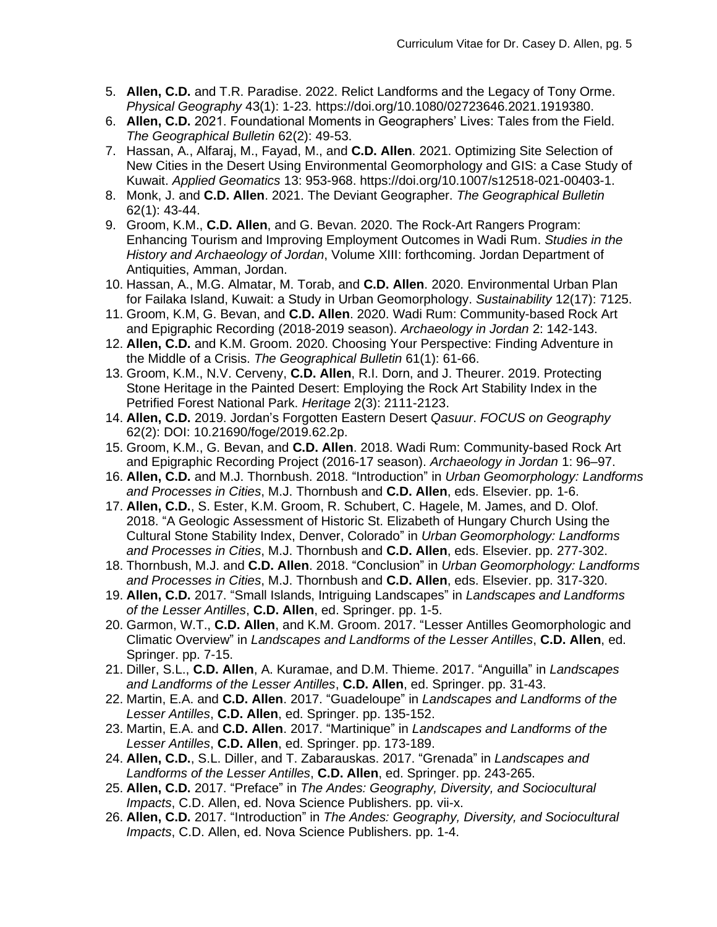- 5. **Allen, C.D.** and T.R. Paradise. 2022. Relict Landforms and the Legacy of Tony Orme. *Physical Geography* 43(1): 1-23. https://doi.org/10.1080/02723646.2021.1919380.
- 6. **Allen, C.D.** 2021. Foundational Moments in Geographers' Lives: Tales from the Field. *The Geographical Bulletin* 62(2): 49-53.
- 7. Hassan, A., Alfaraj, M., Fayad, M., and **C.D. Allen**. 2021. Optimizing Site Selection of New Cities in the Desert Using Environmental Geomorphology and GIS: a Case Study of Kuwait. *Applied Geomatics* 13: 953-968. https://doi.org/10.1007/s12518-021-00403-1.
- 8. Monk, J. and **C.D. Allen**. 2021. The Deviant Geographer. *The Geographical Bulletin* 62(1): 43-44.
- 9. Groom, K.M., **C.D. Allen**, and G. Bevan. 2020. The Rock-Art Rangers Program: Enhancing Tourism and Improving Employment Outcomes in Wadi Rum. *Studies in the History and Archaeology of Jordan*, Volume XIII: forthcoming. Jordan Department of Antiquities, Amman, Jordan.
- 10. Hassan, A., M.G. Almatar, M. Torab, and **C.D. Allen**. 2020. Environmental Urban Plan for Failaka Island, Kuwait: a Study in Urban Geomorphology. *Sustainability* 12(17): 7125.
- 11. Groom, K.M, G. Bevan, and **C.D. Allen**. 2020. Wadi Rum: Community-based Rock Art and Epigraphic Recording (2018-2019 season). *Archaeology in Jordan* 2: 142-143.
- 12. **Allen, C.D.** and K.M. Groom. 2020. Choosing Your Perspective: Finding Adventure in the Middle of a Crisis. *The Geographical Bulletin* 61(1): 61-66.
- 13. Groom, K.M., N.V. Cerveny, **C.D. Allen**, R.I. Dorn, and J. Theurer. 2019. Protecting Stone Heritage in the Painted Desert: Employing the Rock Art Stability Index in the Petrified Forest National Park. *Heritage* 2(3): 2111-2123.
- 14. **Allen, C.D.** 2019. Jordan's Forgotten Eastern Desert *Qasuur*. *FOCUS on Geography* 62(2): DOI: 10.21690/foge/2019.62.2p.
- 15. Groom, K.M., G. Bevan, and **C.D. Allen**. 2018. Wadi Rum: Community-based Rock Art and Epigraphic Recording Project (2016-17 season). *Archaeology in Jordan* 1: 96–97.
- 16. **Allen, C.D.** and M.J. Thornbush. 2018. "Introduction" in *Urban Geomorphology: Landforms and Processes in Cities*, M.J. Thornbush and **C.D. Allen**, eds. Elsevier. pp. 1-6.
- 17. **Allen, C.D.**, S. Ester, K.M. Groom, R. Schubert, C. Hagele, M. James, and D. Olof. 2018. "A Geologic Assessment of Historic St. Elizabeth of Hungary Church Using the Cultural Stone Stability Index, Denver, Colorado" in *Urban Geomorphology: Landforms and Processes in Cities*, M.J. Thornbush and **C.D. Allen**, eds. Elsevier. pp. 277-302.
- 18. Thornbush, M.J. and **C.D. Allen**. 2018. "Conclusion" in *Urban Geomorphology: Landforms and Processes in Cities*, M.J. Thornbush and **C.D. Allen**, eds. Elsevier. pp. 317-320.
- 19. **Allen, C.D.** 2017. "Small Islands, Intriguing Landscapes" in *Landscapes and Landforms of the Lesser Antilles*, **C.D. Allen**, ed. Springer. pp. 1-5.
- 20. Garmon, W.T., **C.D. Allen**, and K.M. Groom. 2017. "Lesser Antilles Geomorphologic and Climatic Overview" in *Landscapes and Landforms of the Lesser Antilles*, **C.D. Allen**, ed. Springer. pp. 7-15.
- 21. Diller, S.L., **C.D. Allen**, A. Kuramae, and D.M. Thieme. 2017. "Anguilla" in *Landscapes and Landforms of the Lesser Antilles*, **C.D. Allen**, ed. Springer. pp. 31-43.
- 22. Martin, E.A. and **C.D. Allen**. 2017. "Guadeloupe" in *Landscapes and Landforms of the Lesser Antilles*, **C.D. Allen**, ed. Springer. pp. 135-152.
- 23. Martin, E.A. and **C.D. Allen**. 2017. "Martinique" in *Landscapes and Landforms of the Lesser Antilles*, **C.D. Allen**, ed. Springer. pp. 173-189.
- 24. **Allen, C.D.**, S.L. Diller, and T. Zabarauskas. 2017. "Grenada" in *Landscapes and Landforms of the Lesser Antilles*, **C.D. Allen**, ed. Springer. pp. 243-265.
- 25. **Allen, C.D.** 2017. "Preface" in *The Andes: Geography, Diversity, and Sociocultural Impacts*, C.D. Allen, ed. Nova Science Publishers. pp. vii-x.
- 26. **Allen, C.D.** 2017. "Introduction" in *The Andes: Geography, Diversity, and Sociocultural Impacts*, C.D. Allen, ed. Nova Science Publishers. pp. 1-4.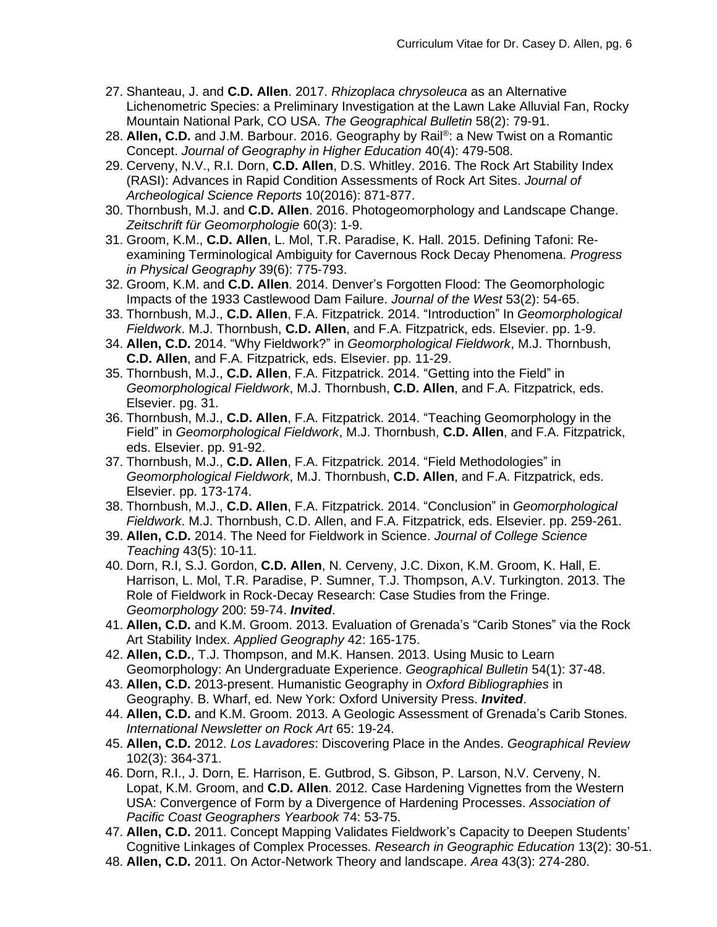- 27. Shanteau, J. and **C.D. Allen**. 2017. *Rhizoplaca chrysoleuca* as an Alternative Lichenometric Species: a Preliminary Investigation at the Lawn Lake Alluvial Fan, Rocky Mountain National Park, CO USA. *The Geographical Bulletin* 58(2): 79-91.
- 28. Allen, C.D. and J.M. Barbour. 2016. Geography by Rail<sup>®</sup>: a New Twist on a Romantic Concept. *Journal of Geography in Higher Education* 40(4): 479-508.
- 29. Cerveny, N.V., R.I. Dorn, **C.D. Allen**, D.S. Whitley. 2016. The Rock Art Stability Index (RASI): Advances in Rapid Condition Assessments of Rock Art Sites. *Journal of Archeological Science Reports* 10(2016): 871-877.
- 30. Thornbush, M.J. and **C.D. Allen**. 2016. Photogeomorphology and Landscape Change. *Zeitschrift für Geomorphologie* 60(3): 1-9.
- 31. Groom, K.M., **C.D. Allen**, L. Mol, T.R. Paradise, K. Hall. 2015. Defining Tafoni: Reexamining Terminological Ambiguity for Cavernous Rock Decay Phenomena. *Progress in Physical Geography* 39(6): 775-793.
- 32. Groom, K.M. and **C.D. Allen**. 2014. Denver's Forgotten Flood: The Geomorphologic Impacts of the 1933 Castlewood Dam Failure. *Journal of the West* 53(2): 54-65.
- 33. Thornbush, M.J., **C.D. Allen**, F.A. Fitzpatrick. 2014. "Introduction" In *Geomorphological Fieldwork*. M.J. Thornbush, **C.D. Allen**, and F.A. Fitzpatrick, eds. Elsevier. pp. 1-9.
- 34. **Allen, C.D.** 2014. "Why Fieldwork?" in *Geomorphological Fieldwork*, M.J. Thornbush, **C.D. Allen**, and F.A. Fitzpatrick, eds. Elsevier. pp. 11-29.
- 35. Thornbush, M.J., **C.D. Allen**, F.A. Fitzpatrick. 2014. "Getting into the Field" in *Geomorphological Fieldwork*, M.J. Thornbush, **C.D. Allen**, and F.A. Fitzpatrick, eds. Elsevier. pg. 31.
- 36. Thornbush, M.J., **C.D. Allen**, F.A. Fitzpatrick. 2014. "Teaching Geomorphology in the Field" in *Geomorphological Fieldwork*, M.J. Thornbush, **C.D. Allen**, and F.A. Fitzpatrick, eds. Elsevier. pp. 91-92.
- 37. Thornbush, M.J., **C.D. Allen**, F.A. Fitzpatrick. 2014. "Field Methodologies" in *Geomorphological Fieldwork*, M.J. Thornbush, **C.D. Allen**, and F.A. Fitzpatrick, eds. Elsevier. pp. 173-174.
- 38. Thornbush, M.J., **C.D. Allen**, F.A. Fitzpatrick. 2014. "Conclusion" in *Geomorphological Fieldwork*. M.J. Thornbush, C.D. Allen, and F.A. Fitzpatrick, eds. Elsevier. pp. 259-261.
- 39. **Allen, C.D.** 2014. The Need for Fieldwork in Science. *Journal of College Science Teaching* 43(5): 10-11.
- 40. Dorn, R.I, S.J. Gordon, **C.D. Allen**, N. Cerveny, J.C. Dixon, K.M. Groom, K. Hall, E. Harrison, L. Mol, T.R. Paradise, P. Sumner, T.J. Thompson, A.V. Turkington. 2013. The Role of Fieldwork in Rock-Decay Research: Case Studies from the Fringe. *Geomorphology* 200: 59-74. *Invited*.
- 41. **Allen, C.D.** and K.M. Groom. 2013. Evaluation of Grenada's "Carib Stones" via the Rock Art Stability Index. *Applied Geography* 42: 165-175.
- 42. **Allen, C.D.**, T.J. Thompson, and M.K. Hansen. 2013. Using Music to Learn Geomorphology: An Undergraduate Experience. *Geographical Bulletin* 54(1): 37-48.
- 43. **Allen, C.D.** 2013-present. Humanistic Geography in *Oxford Bibliographies* in Geography. B. Wharf, ed. New York: Oxford University Press. *Invited*.
- 44. **Allen, C.D.** and K.M. Groom. 2013. A Geologic Assessment of Grenada's Carib Stones. *International Newsletter on Rock Art* 65: 19-24.
- 45. **Allen, C.D.** 2012. *Los Lavadores*: Discovering Place in the Andes. *Geographical Review* 102(3): 364-371.
- 46. Dorn, R.I., J. Dorn, E. Harrison, E. Gutbrod, S. Gibson, P. Larson, N.V. Cerveny, N. Lopat, K.M. Groom, and **C.D. Allen**. 2012. Case Hardening Vignettes from the Western USA: Convergence of Form by a Divergence of Hardening Processes. *Association of Pacific Coast Geographers Yearbook* 74: 53-75.
- 47. **Allen, C.D.** 2011. Concept Mapping Validates Fieldwork's Capacity to Deepen Students' Cognitive Linkages of Complex Processes. *Research in Geographic Education* 13(2): 30-51.
- 48. **Allen, C.D.** 2011. On Actor-Network Theory and landscape. *Area* 43(3): 274-280.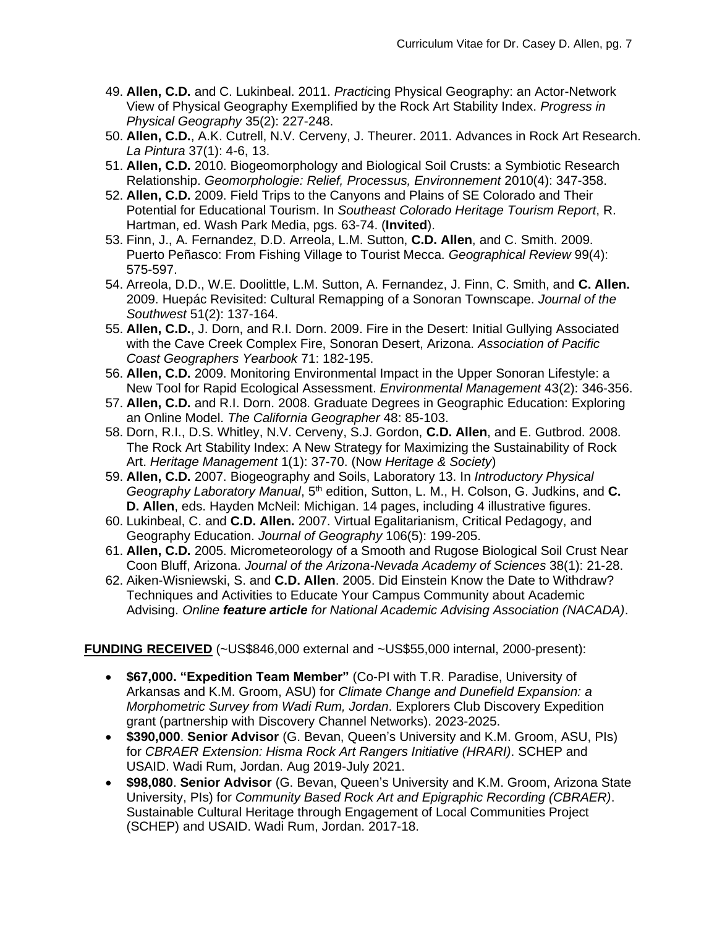- 49. **Allen, C.D.** and C. Lukinbeal. 2011. *Practic*ing Physical Geography: an Actor-Network View of Physical Geography Exemplified by the Rock Art Stability Index. *Progress in Physical Geography* 35(2): 227-248.
- 50. **Allen, C.D.**, A.K. Cutrell, N.V. Cerveny, J. Theurer. 2011. Advances in Rock Art Research. *La Pintura* 37(1): 4-6, 13.
- 51. **Allen, C.D.** 2010. Biogeomorphology and Biological Soil Crusts: a Symbiotic Research Relationship. *Geomorphologie: Relief, Processus, Environnement* 2010(4): 347-358.
- 52. **Allen, C.D.** 2009. Field Trips to the Canyons and Plains of SE Colorado and Their Potential for Educational Tourism. In *Southeast Colorado Heritage Tourism Report*, R. Hartman, ed. Wash Park Media, pgs. 63-74. (**Invited**).
- 53. Finn, J., A. Fernandez, D.D. Arreola, L.M. Sutton, **C.D. Allen**, and C. Smith. 2009. Puerto Peñasco: From Fishing Village to Tourist Mecca. *Geographical Review* 99(4): 575-597.
- 54. Arreola, D.D., W.E. Doolittle, L.M. Sutton, A. Fernandez, J. Finn, C. Smith, and **C. Allen.** 2009. Huepác Revisited: Cultural Remapping of a Sonoran Townscape. *Journal of the Southwest* 51(2): 137-164.
- 55. **Allen, C.D.**, J. Dorn, and R.I. Dorn. 2009. Fire in the Desert: Initial Gullying Associated with the Cave Creek Complex Fire, Sonoran Desert, Arizona. *Association of Pacific Coast Geographers Yearbook* 71: 182-195.
- 56. **Allen, C.D.** 2009. Monitoring Environmental Impact in the Upper Sonoran Lifestyle: a New Tool for Rapid Ecological Assessment. *Environmental Management* 43(2): 346-356.
- 57. **Allen, C.D.** and R.I. Dorn. 2008. Graduate Degrees in Geographic Education: Exploring an Online Model. *The California Geographer* 48: 85-103.
- 58. Dorn, R.I., D.S. Whitley, N.V. Cerveny, S.J. Gordon, **C.D. Allen**, and E. Gutbrod. 2008. The Rock Art Stability Index: A New Strategy for Maximizing the Sustainability of Rock Art. *Heritage Management* 1(1): 37-70. (Now *Heritage & Society*)
- 59. **Allen, C.D.** 2007. Biogeography and Soils, Laboratory 13. In *Introductory Physical Geography Laboratory Manual*, 5th edition, Sutton, L. M., H. Colson, G. Judkins, and **C. D. Allen**, eds. Hayden McNeil: Michigan. 14 pages, including 4 illustrative figures.
- 60. Lukinbeal, C. and **C.D. Allen.** 2007. Virtual Egalitarianism, Critical Pedagogy, and Geography Education. *Journal of Geography* 106(5): 199-205.
- 61. **Allen, C.D.** 2005. Micrometeorology of a Smooth and Rugose Biological Soil Crust Near Coon Bluff, Arizona. *Journal of the Arizona-Nevada Academy of Sciences* 38(1): 21-28.
- 62. Aiken-Wisniewski, S. and **C.D. Allen**. 2005. Did Einstein Know the Date to Withdraw? Techniques and Activities to Educate Your Campus Community about Academic Advising. *Online feature article for National Academic Advising Association (NACADA)*.

**FUNDING RECEIVED** (~US\$846,000 external and ~US\$55,000 internal, 2000-present):

- **\$67,000. "Expedition Team Member"** (Co-PI with T.R. Paradise, University of Arkansas and K.M. Groom, ASU) for *Climate Change and Dunefield Expansion: a Morphometric Survey from Wadi Rum, Jordan*. Explorers Club Discovery Expedition grant (partnership with Discovery Channel Networks). 2023-2025.
- **\$390,000**. **Senior Advisor** (G. Bevan, Queen's University and K.M. Groom, ASU, PIs) for *CBRAER Extension: Hisma Rock Art Rangers Initiative (HRARI)*. SCHEP and USAID. Wadi Rum, Jordan. Aug 2019-July 2021.
- **\$98,080**. **Senior Advisor** (G. Bevan, Queen's University and K.M. Groom, Arizona State University, PIs) for *Community Based Rock Art and Epigraphic Recording (CBRAER)*. Sustainable Cultural Heritage through Engagement of Local Communities Project (SCHEP) and USAID. Wadi Rum, Jordan. 2017-18.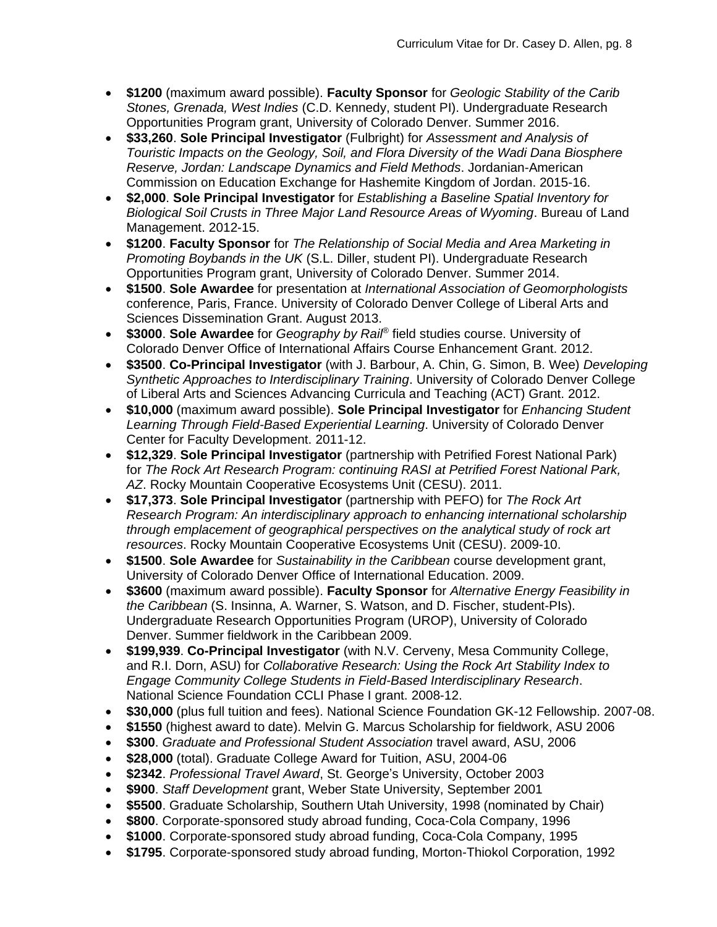- **\$1200** (maximum award possible). **Faculty Sponsor** for *Geologic Stability of the Carib Stones, Grenada, West Indies* (C.D. Kennedy, student PI). Undergraduate Research Opportunities Program grant, University of Colorado Denver. Summer 2016.
- **\$33,260**. **Sole Principal Investigator** (Fulbright) for *Assessment and Analysis of Touristic Impacts on the Geology, Soil, and Flora Diversity of the Wadi Dana Biosphere Reserve, Jordan: Landscape Dynamics and Field Methods*. Jordanian-American Commission on Education Exchange for Hashemite Kingdom of Jordan. 2015-16.
- **\$2,000**. **Sole Principal Investigator** for *Establishing a Baseline Spatial Inventory for Biological Soil Crusts in Three Major Land Resource Areas of Wyoming*. Bureau of Land Management. 2012-15.
- **\$1200**. **Faculty Sponsor** for *The Relationship of Social Media and Area Marketing in Promoting Boybands in the UK* (S.L. Diller, student PI). Undergraduate Research Opportunities Program grant, University of Colorado Denver. Summer 2014.
- **\$1500**. **Sole Awardee** for presentation at *International Association of Geomorphologists* conference, Paris, France. University of Colorado Denver College of Liberal Arts and Sciences Dissemination Grant. August 2013.
- **\$3000**. **Sole Awardee** for *Geography by Rail®* field studies course. University of Colorado Denver Office of International Affairs Course Enhancement Grant. 2012.
- **\$3500**. **Co-Principal Investigator** (with J. Barbour, A. Chin, G. Simon, B. Wee) *Developing Synthetic Approaches to Interdisciplinary Training*. University of Colorado Denver College of Liberal Arts and Sciences Advancing Curricula and Teaching (ACT) Grant. 2012.
- **\$10,000** (maximum award possible). **Sole Principal Investigator** for *Enhancing Student Learning Through Field-Based Experiential Learning*. University of Colorado Denver Center for Faculty Development. 2011-12.
- **\$12,329**. **Sole Principal Investigator** (partnership with Petrified Forest National Park) for *The Rock Art Research Program: continuing RASI at Petrified Forest National Park, AZ*. Rocky Mountain Cooperative Ecosystems Unit (CESU). 2011.
- **\$17,373**. **Sole Principal Investigator** (partnership with PEFO) for *The Rock Art Research Program: An interdisciplinary approach to enhancing international scholarship through emplacement of geographical perspectives on the analytical study of rock art resources*. Rocky Mountain Cooperative Ecosystems Unit (CESU). 2009-10.
- **\$1500**. **Sole Awardee** for *Sustainability in the Caribbean* course development grant, University of Colorado Denver Office of International Education. 2009.
- **\$3600** (maximum award possible). **Faculty Sponsor** for *Alternative Energy Feasibility in the Caribbean* (S. Insinna, A. Warner, S. Watson, and D. Fischer, student-PIs). Undergraduate Research Opportunities Program (UROP), University of Colorado Denver. Summer fieldwork in the Caribbean 2009.
- **\$199,939**. **Co-Principal Investigator** (with N.V. Cerveny, Mesa Community College, and R.I. Dorn, ASU) for *Collaborative Research: Using the Rock Art Stability Index to Engage Community College Students in Field-Based Interdisciplinary Research*. National Science Foundation CCLI Phase I grant. 2008-12.
- **\$30,000** (plus full tuition and fees). National Science Foundation GK-12 Fellowship. 2007-08.
- **\$1550** (highest award to date). Melvin G. Marcus Scholarship for fieldwork, ASU 2006
- **\$300**. *Graduate and Professional Student Association* travel award, ASU, 2006
- **\$28,000** (total). Graduate College Award for Tuition, ASU, 2004-06
- **\$2342**. *Professional Travel Award*, St. George's University, October 2003
- **\$900**. *Staff Development* grant, Weber State University, September 2001
- **\$5500**. Graduate Scholarship, Southern Utah University, 1998 (nominated by Chair)
- **\$800**. Corporate-sponsored study abroad funding, Coca-Cola Company, 1996
- **\$1000**. Corporate-sponsored study abroad funding, Coca-Cola Company, 1995
- **\$1795**. Corporate-sponsored study abroad funding, Morton-Thiokol Corporation, 1992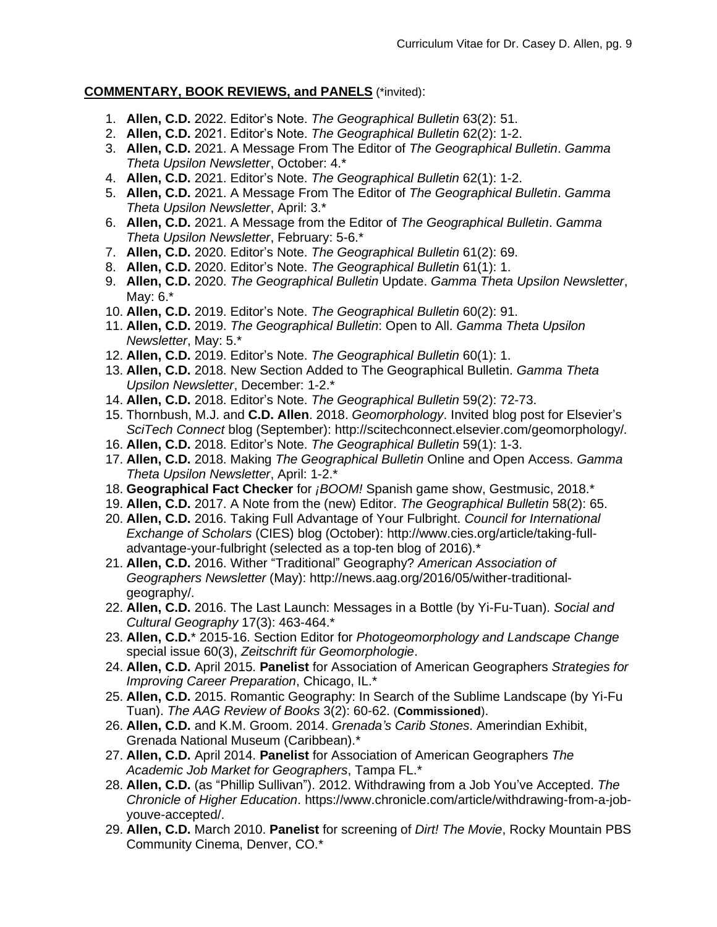#### **COMMENTARY, BOOK REVIEWS, and PANELS** (\*invited):

- 1. **Allen, C.D.** 2022. Editor's Note. *The Geographical Bulletin* 63(2): 51.
- 2. **Allen, C.D.** 2021. Editor's Note. *The Geographical Bulletin* 62(2): 1-2.
- 3. **Allen, C.D.** 2021. A Message From The Editor of *The Geographical Bulletin*. *Gamma Theta Upsilon Newsletter*, October: 4.\*
- 4. **Allen, C.D.** 2021. Editor's Note. *The Geographical Bulletin* 62(1): 1-2.
- 5. **Allen, C.D.** 2021. A Message From The Editor of *The Geographical Bulletin*. *Gamma Theta Upsilon Newsletter*, April: 3.\*
- 6. **Allen, C.D.** 2021. A Message from the Editor of *The Geographical Bulletin*. *Gamma Theta Upsilon Newsletter*, February: 5-6.\*
- 7. **Allen, C.D.** 2020. Editor's Note. *The Geographical Bulletin* 61(2): 69.
- 8. **Allen, C.D.** 2020. Editor's Note. *The Geographical Bulletin* 61(1): 1.
- 9. **Allen, C.D.** 2020. *The Geographical Bulletin* Update. *Gamma Theta Upsilon Newsletter*, May: 6.\*
- 10. **Allen, C.D.** 2019. Editor's Note. *The Geographical Bulletin* 60(2): 91.
- 11. **Allen, C.D.** 2019. *The Geographical Bulletin*: Open to All. *Gamma Theta Upsilon Newsletter*, May: 5.\*
- 12. **Allen, C.D.** 2019. Editor's Note. *The Geographical Bulletin* 60(1): 1.
- 13. **Allen, C.D.** 2018. New Section Added to The Geographical Bulletin. *Gamma Theta Upsilon Newsletter*, December: 1-2.\*
- 14. **Allen, C.D.** 2018. Editor's Note. *The Geographical Bulletin* 59(2): 72-73.
- 15. Thornbush, M.J. and **C.D. Allen**. 2018. *Geomorphology*. Invited blog post for Elsevier's *SciTech Connect* blog (September): http://scitechconnect.elsevier.com/geomorphology/*.*
- 16. **Allen, C.D.** 2018. Editor's Note. *The Geographical Bulletin* 59(1): 1-3.
- 17. **Allen, C.D.** 2018. Making *The Geographical Bulletin* Online and Open Access. *Gamma Theta Upsilon Newsletter*, April: 1-2.\*
- 18. **Geographical Fact Checker** for *¡BOOM!* Spanish game show, Gestmusic, 2018.\*
- 19. **Allen, C.D.** 2017. A Note from the (new) Editor. *The Geographical Bulletin* 58(2): 65.
- 20. **Allen, C.D.** 2016. Taking Full Advantage of Your Fulbright. *Council for International Exchange of Scholars* (CIES) blog (October): http://www.cies.org/article/taking-fulladvantage-your-fulbright (selected as a top-ten blog of 2016).\*
- 21. **Allen, C.D.** 2016. Wither "Traditional" Geography? *American Association of Geographers Newsletter* (May): http://news.aag.org/2016/05/wither-traditionalgeography/.
- 22. **Allen, C.D.** 2016. The Last Launch: Messages in a Bottle (by Yi-Fu-Tuan). *Social and Cultural Geography* 17(3): 463-464.\*
- 23. **Allen, C.D.**\* 2015-16. Section Editor for *Photogeomorphology and Landscape Change* special issue 60(3), *Zeitschrift für Geomorphologie*.
- 24. **Allen, C.D.** April 2015. **Panelist** for Association of American Geographers *Strategies for Improving Career Preparation*, Chicago, IL.\*
- 25. **Allen, C.D.** 2015. Romantic Geography: In Search of the Sublime Landscape (by Yi-Fu Tuan). *The AAG Review of Books* 3(2): 60-62. (**Commissioned**).
- 26. **Allen, C.D.** and K.M. Groom. 2014. *Grenada's Carib Stones*. Amerindian Exhibit, Grenada National Museum (Caribbean).\*
- 27. **Allen, C.D.** April 2014. **Panelist** for Association of American Geographers *The Academic Job Market for Geographers*, Tampa FL.\*
- 28. **Allen, C.D.** (as "Phillip Sullivan"). 2012. Withdrawing from a Job You've Accepted. *The Chronicle of Higher Education*. https://www.chronicle.com/article/withdrawing-from-a-jobyouve-accepted/.
- 29. **Allen, C.D.** March 2010. **Panelist** for screening of *Dirt! The Movie*, Rocky Mountain PBS Community Cinema, Denver, CO.\*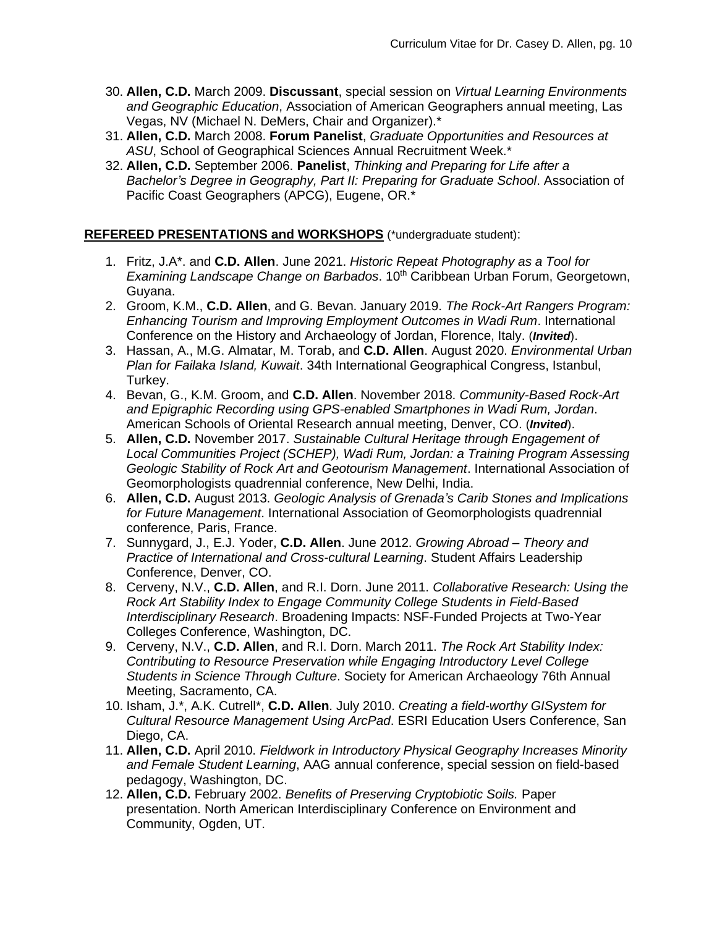- 30. **Allen, C.D.** March 2009. **Discussant**, special session on *Virtual Learning Environments and Geographic Education*, Association of American Geographers annual meeting, Las Vegas, NV (Michael N. DeMers, Chair and Organizer).\*
- 31. **Allen, C.D.** March 2008. **Forum Panelist**, *Graduate Opportunities and Resources at ASU*, School of Geographical Sciences Annual Recruitment Week.\*
- 32. **Allen, C.D.** September 2006. **Panelist**, *Thinking and Preparing for Life after a Bachelor's Degree in Geography, Part II: Preparing for Graduate School*. Association of Pacific Coast Geographers (APCG), Eugene, OR.\*

### **REFEREED PRESENTATIONS and WORKSHOPS** (\*undergraduate student):

- 1. Fritz, J.A\*. and **C.D. Allen**. June 2021. *Historic Repeat Photography as a Tool for Examining Landscape Change on Barbados*. 10<sup>th</sup> Caribbean Urban Forum, Georgetown, Guyana.
- 2. Groom, K.M., **C.D. Allen**, and G. Bevan. January 2019. *The Rock-Art Rangers Program: Enhancing Tourism and Improving Employment Outcomes in Wadi Rum*. International Conference on the History and Archaeology of Jordan, Florence, Italy. (*Invited*).
- 3. Hassan, A., M.G. Almatar, M. Torab, and **C.D. Allen**. August 2020. *Environmental Urban Plan for Failaka Island, Kuwait*. 34th International Geographical Congress, Istanbul, Turkey.
- 4. Bevan, G., K.M. Groom, and **C.D. Allen**. November 2018. *Community-Based Rock-Art and Epigraphic Recording using GPS-enabled Smartphones in Wadi Rum, Jordan*. American Schools of Oriental Research annual meeting, Denver, CO. (*Invited*).
- 5. **Allen, C.D.** November 2017. *Sustainable Cultural Heritage through Engagement of Local Communities Project (SCHEP), Wadi Rum, Jordan: a Training Program Assessing Geologic Stability of Rock Art and Geotourism Management*. International Association of Geomorphologists quadrennial conference, New Delhi, India.
- 6. **Allen, C.D.** August 2013. *Geologic Analysis of Grenada's Carib Stones and Implications for Future Management*. International Association of Geomorphologists quadrennial conference, Paris, France.
- 7. Sunnygard, J., E.J. Yoder, **C.D. Allen**. June 2012. *Growing Abroad – Theory and Practice of International and Cross-cultural Learning*. Student Affairs Leadership Conference, Denver, CO.
- 8. Cerveny, N.V., **C.D. Allen**, and R.I. Dorn. June 2011. *Collaborative Research: Using the Rock Art Stability Index to Engage Community College Students in Field-Based Interdisciplinary Research*. Broadening Impacts: NSF-Funded Projects at Two-Year Colleges Conference, Washington, DC.
- 9. Cerveny, N.V., **C.D. Allen**, and R.I. Dorn. March 2011. *The Rock Art Stability Index: Contributing to Resource Preservation while Engaging Introductory Level College Students in Science Through Culture*. Society for American Archaeology 76th Annual Meeting, Sacramento, CA.
- 10. Isham, J.\*, A.K. Cutrell\*, **C.D. Allen**. July 2010. *Creating a field-worthy GISystem for Cultural Resource Management Using ArcPad*. ESRI Education Users Conference, San Diego, CA.
- 11. **Allen, C.D.** April 2010. *Fieldwork in Introductory Physical Geography Increases Minority and Female Student Learning*, AAG annual conference, special session on field-based pedagogy, Washington, DC.
- 12. **Allen, C.D.** February 2002. *Benefits of Preserving Cryptobiotic Soils.* Paper presentation. North American Interdisciplinary Conference on Environment and Community, Ogden, UT.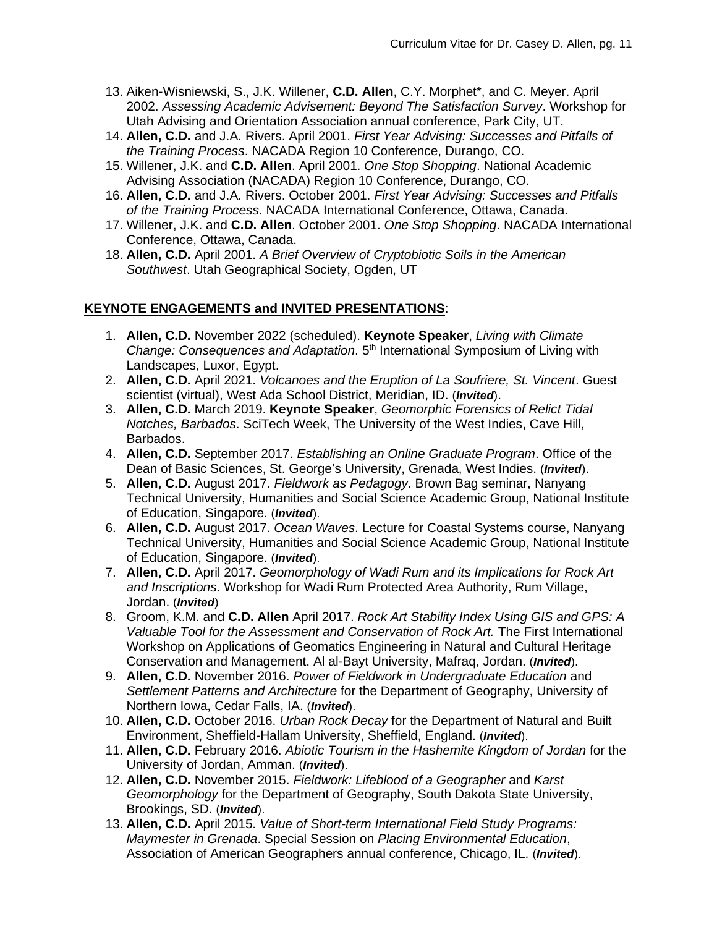- 13. Aiken-Wisniewski, S., J.K. Willener, **C.D. Allen**, C.Y. Morphet\*, and C. Meyer. April 2002. *Assessing Academic Advisement: Beyond The Satisfaction Survey*. Workshop for Utah Advising and Orientation Association annual conference, Park City, UT.
- 14. **Allen, C.D.** and J.A. Rivers. April 2001. *First Year Advising: Successes and Pitfalls of the Training Process*. NACADA Region 10 Conference, Durango, CO.
- 15. Willener, J.K. and **C.D. Allen**. April 2001. *One Stop Shopping*. National Academic Advising Association (NACADA) Region 10 Conference, Durango, CO.
- 16. **Allen, C.D.** and J.A. Rivers. October 2001. *First Year Advising: Successes and Pitfalls of the Training Process*. NACADA International Conference, Ottawa, Canada.
- 17. Willener, J.K. and **C.D. Allen**. October 2001. *One Stop Shopping*. NACADA International Conference, Ottawa, Canada.
- 18. **Allen, C.D.** April 2001. *A Brief Overview of Cryptobiotic Soils in the American Southwest*. Utah Geographical Society, Ogden, UT

### **KEYNOTE ENGAGEMENTS and INVITED PRESENTATIONS**:

- 1. **Allen, C.D.** November 2022 (scheduled). **Keynote Speaker**, *Living with Climate*  Change: Consequences and Adaptation. 5<sup>th</sup> International Symposium of Living with Landscapes, Luxor, Egypt.
- 2. **Allen, C.D.** April 2021. *Volcanoes and the Eruption of La Soufriere, St. Vincent*. Guest scientist (virtual), West Ada School District, Meridian, ID. (*Invited*).
- 3. **Allen, C.D.** March 2019. **Keynote Speaker**, *Geomorphic Forensics of Relict Tidal Notches, Barbados*. SciTech Week, The University of the West Indies, Cave Hill, Barbados.
- 4. **Allen, C.D.** September 2017. *Establishing an Online Graduate Program*. Office of the Dean of Basic Sciences, St. George's University, Grenada, West Indies. (*Invited*).
- 5. **Allen, C.D.** August 2017. *Fieldwork as Pedagogy*. Brown Bag seminar, Nanyang Technical University, Humanities and Social Science Academic Group, National Institute of Education, Singapore. (*Invited*).
- 6. **Allen, C.D.** August 2017. *Ocean Waves*. Lecture for Coastal Systems course, Nanyang Technical University, Humanities and Social Science Academic Group, National Institute of Education, Singapore. (*Invited*).
- 7. **Allen, C.D.** April 2017. *Geomorphology of Wadi Rum and its Implications for Rock Art and Inscriptions*. Workshop for Wadi Rum Protected Area Authority, Rum Village, Jordan. (*Invited*)
- 8. Groom, K.M. and **C.D. Allen** April 2017. *Rock Art Stability Index Using GIS and GPS: A Valuable Tool for the Assessment and Conservation of Rock Art.* The First International Workshop on Applications of Geomatics Engineering in Natural and Cultural Heritage Conservation and Management. Al al-Bayt University, Mafraq, Jordan. (*Invited*).
- 9. **Allen, C.D.** November 2016. *Power of Fieldwork in Undergraduate Education* and *Settlement Patterns and Architecture* for the Department of Geography, University of Northern Iowa, Cedar Falls, IA. (*Invited*).
- 10. **Allen, C.D.** October 2016. *Urban Rock Decay* for the Department of Natural and Built Environment, Sheffield-Hallam University, Sheffield, England. (*Invited*).
- 11. **Allen, C.D.** February 2016. *Abiotic Tourism in the Hashemite Kingdom of Jordan* for the University of Jordan, Amman. (*Invited*).
- 12. **Allen, C.D.** November 2015. *Fieldwork: Lifeblood of a Geographer* and *Karst Geomorphology* for the Department of Geography, South Dakota State University, Brookings, SD. (*Invited*).
- 13. **Allen, C.D.** April 2015. *Value of Short-term International Field Study Programs: Maymester in Grenada*. Special Session on *Placing Environmental Education*, Association of American Geographers annual conference, Chicago, IL. (*Invited*).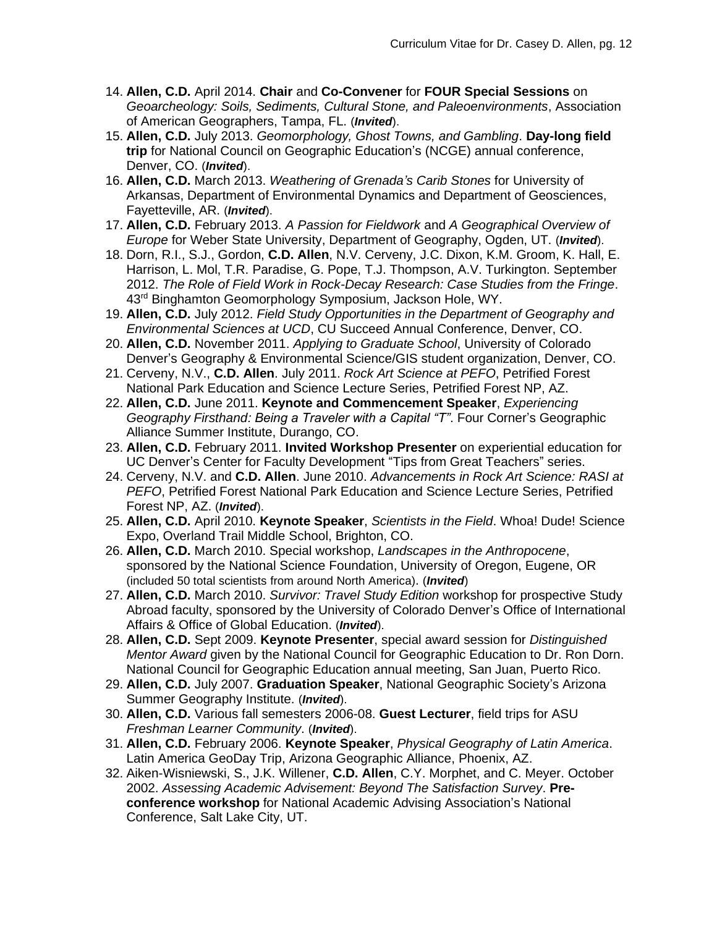- 14. **Allen, C.D.** April 2014. **Chair** and **Co-Convener** for **FOUR Special Sessions** on *Geoarcheology: Soils, Sediments, Cultural Stone, and Paleoenvironments*, Association of American Geographers, Tampa, FL. (*Invited*).
- 15. **Allen, C.D.** July 2013. *Geomorphology, Ghost Towns, and Gambling*. **Day-long field trip** for National Council on Geographic Education's (NCGE) annual conference, Denver, CO. (*Invited*).
- 16. **Allen, C.D.** March 2013. *Weathering of Grenada's Carib Stones* for University of Arkansas, Department of Environmental Dynamics and Department of Geosciences, Fayetteville, AR. (*Invited*).
- 17. **Allen, C.D.** February 2013. *A Passion for Fieldwork* and *A Geographical Overview of Europe* for Weber State University, Department of Geography, Ogden, UT. (*Invited*).
- 18. Dorn, R.I., S.J., Gordon, **C.D. Allen**, N.V. Cerveny, J.C. Dixon, K.M. Groom, K. Hall, E. Harrison, L. Mol, T.R. Paradise, G. Pope, T.J. Thompson, A.V. Turkington. September 2012. *The Role of Field Work in Rock-Decay Research: Case Studies from the Fringe*. 43<sup>rd</sup> Binghamton Geomorphology Symposium, Jackson Hole, WY.
- 19. **Allen, C.D.** July 2012. *Field Study Opportunities in the Department of Geography and Environmental Sciences at UCD*, CU Succeed Annual Conference, Denver, CO.
- 20. **Allen, C.D.** November 2011. *Applying to Graduate School*, University of Colorado Denver's Geography & Environmental Science/GIS student organization, Denver, CO.
- 21. Cerveny, N.V., **C.D. Allen**. July 2011. *Rock Art Science at PEFO*, Petrified Forest National Park Education and Science Lecture Series, Petrified Forest NP, AZ.
- 22. **Allen, C.D.** June 2011. **Keynote and Commencement Speaker**, *Experiencing Geography Firsthand: Being a Traveler with a Capital "T"*. Four Corner's Geographic Alliance Summer Institute, Durango, CO.
- 23. **Allen, C.D.** February 2011. **Invited Workshop Presenter** on experiential education for UC Denver's Center for Faculty Development "Tips from Great Teachers" series.
- 24. Cerveny, N.V. and **C.D. Allen**. June 2010. *Advancements in Rock Art Science: RASI at PEFO*, Petrified Forest National Park Education and Science Lecture Series, Petrified Forest NP, AZ. (*Invited*).
- 25. **Allen, C.D.** April 2010. **Keynote Speaker**, *Scientists in the Field*. Whoa! Dude! Science Expo, Overland Trail Middle School, Brighton, CO.
- 26. **Allen, C.D.** March 2010. Special workshop, *Landscapes in the Anthropocene*, sponsored by the National Science Foundation, University of Oregon, Eugene, OR (included 50 total scientists from around North America). (*Invited*)
- 27. **Allen, C.D.** March 2010. *Survivor: Travel Study Edition* workshop for prospective Study Abroad faculty, sponsored by the University of Colorado Denver's Office of International Affairs & Office of Global Education. (*Invited*).
- 28. **Allen, C.D.** Sept 2009. **Keynote Presenter**, special award session for *Distinguished Mentor Award* given by the National Council for Geographic Education to Dr. Ron Dorn. National Council for Geographic Education annual meeting, San Juan, Puerto Rico.
- 29. **Allen, C.D.** July 2007. **Graduation Speaker**, National Geographic Society's Arizona Summer Geography Institute. (*Invited*).
- 30. **Allen, C.D.** Various fall semesters 2006-08. **Guest Lecturer**, field trips for ASU *Freshman Learner Community*. (*Invited*).
- 31. **Allen, C.D.** February 2006. **Keynote Speaker**, *Physical Geography of Latin America*. Latin America GeoDay Trip, Arizona Geographic Alliance, Phoenix, AZ.
- 32. Aiken-Wisniewski, S., J.K. Willener, **C.D. Allen**, C.Y. Morphet, and C. Meyer. October 2002. *Assessing Academic Advisement: Beyond The Satisfaction Survey*. **Preconference workshop** for National Academic Advising Association's National Conference, Salt Lake City, UT.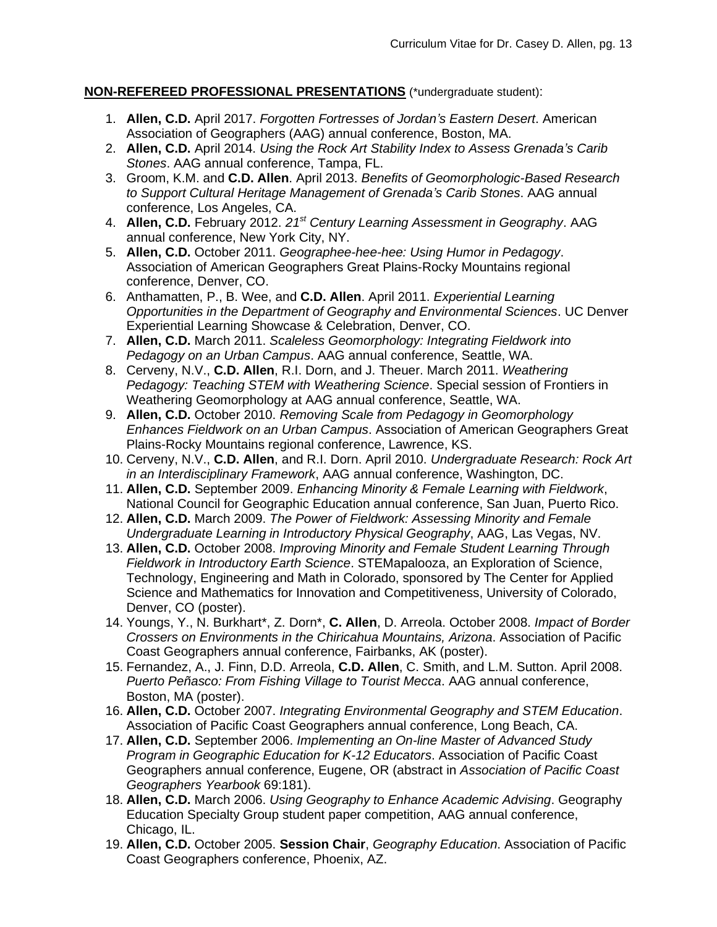### **NON-REFEREED PROFESSIONAL PRESENTATIONS** (\*undergraduate student):

- 1. **Allen, C.D.** April 2017. *Forgotten Fortresses of Jordan's Eastern Desert*. American Association of Geographers (AAG) annual conference, Boston, MA.
- 2. **Allen, C.D.** April 2014. *Using the Rock Art Stability Index to Assess Grenada's Carib Stones*. AAG annual conference, Tampa, FL.
- 3. Groom, K.M. and **C.D. Allen**. April 2013. *Benefits of Geomorphologic-Based Research to Support Cultural Heritage Management of Grenada's Carib Stones*. AAG annual conference, Los Angeles, CA.
- 4. **Allen, C.D.** February 2012. *21st Century Learning Assessment in Geography*. AAG annual conference, New York City, NY.
- 5. **Allen, C.D.** October 2011. *Geographee-hee-hee: Using Humor in Pedagogy*. Association of American Geographers Great Plains-Rocky Mountains regional conference, Denver, CO.
- 6. Anthamatten, P., B. Wee, and **C.D. Allen**. April 2011. *Experiential Learning Opportunities in the Department of Geography and Environmental Sciences*. UC Denver Experiential Learning Showcase & Celebration, Denver, CO.
- 7. **Allen, C.D.** March 2011. *Scaleless Geomorphology: Integrating Fieldwork into Pedagogy on an Urban Campus*. AAG annual conference, Seattle, WA.
- 8. Cerveny, N.V., **C.D. Allen**, R.I. Dorn, and J. Theuer. March 2011. *Weathering Pedagogy: Teaching STEM with Weathering Science*. Special session of Frontiers in Weathering Geomorphology at AAG annual conference, Seattle, WA.
- 9. **Allen, C.D.** October 2010. *Removing Scale from Pedagogy in Geomorphology Enhances Fieldwork on an Urban Campus*. Association of American Geographers Great Plains-Rocky Mountains regional conference, Lawrence, KS.
- 10. Cerveny, N.V., **C.D. Allen**, and R.I. Dorn. April 2010. *Undergraduate Research: Rock Art in an Interdisciplinary Framework*, AAG annual conference, Washington, DC.
- 11. **Allen, C.D.** September 2009. *Enhancing Minority & Female Learning with Fieldwork*, National Council for Geographic Education annual conference, San Juan, Puerto Rico.
- 12. **Allen, C.D.** March 2009. *The Power of Fieldwork: Assessing Minority and Female Undergraduate Learning in Introductory Physical Geography*, AAG, Las Vegas, NV.
- 13. **Allen, C.D.** October 2008. *Improving Minority and Female Student Learning Through Fieldwork in Introductory Earth Science*. STEMapalooza, an Exploration of Science, Technology, Engineering and Math in Colorado, sponsored by The Center for Applied Science and Mathematics for Innovation and Competitiveness, University of Colorado, Denver, CO (poster).
- 14. Youngs, Y., N. Burkhart\*, Z. Dorn\*, **C. Allen**, D. Arreola. October 2008. *Impact of Border Crossers on Environments in the Chiricahua Mountains, Arizona*. Association of Pacific Coast Geographers annual conference, Fairbanks, AK (poster).
- 15. Fernandez, A., J. Finn, D.D. Arreola, **C.D. Allen**, C. Smith, and L.M. Sutton. April 2008. *Puerto Peñasco: From Fishing Village to Tourist Mecca*. AAG annual conference, Boston, MA (poster).
- 16. **Allen, C.D.** October 2007. *Integrating Environmental Geography and STEM Education*. Association of Pacific Coast Geographers annual conference, Long Beach, CA.
- 17. **Allen, C.D.** September 2006. *Implementing an On-line Master of Advanced Study Program in Geographic Education for K-12 Educators*. Association of Pacific Coast Geographers annual conference, Eugene, OR (abstract in *Association of Pacific Coast Geographers Yearbook* 69:181).
- 18. **Allen, C.D.** March 2006. *Using Geography to Enhance Academic Advising*. Geography Education Specialty Group student paper competition, AAG annual conference, Chicago, IL.
- 19. **Allen, C.D.** October 2005. **Session Chair**, *Geography Education*. Association of Pacific Coast Geographers conference, Phoenix, AZ.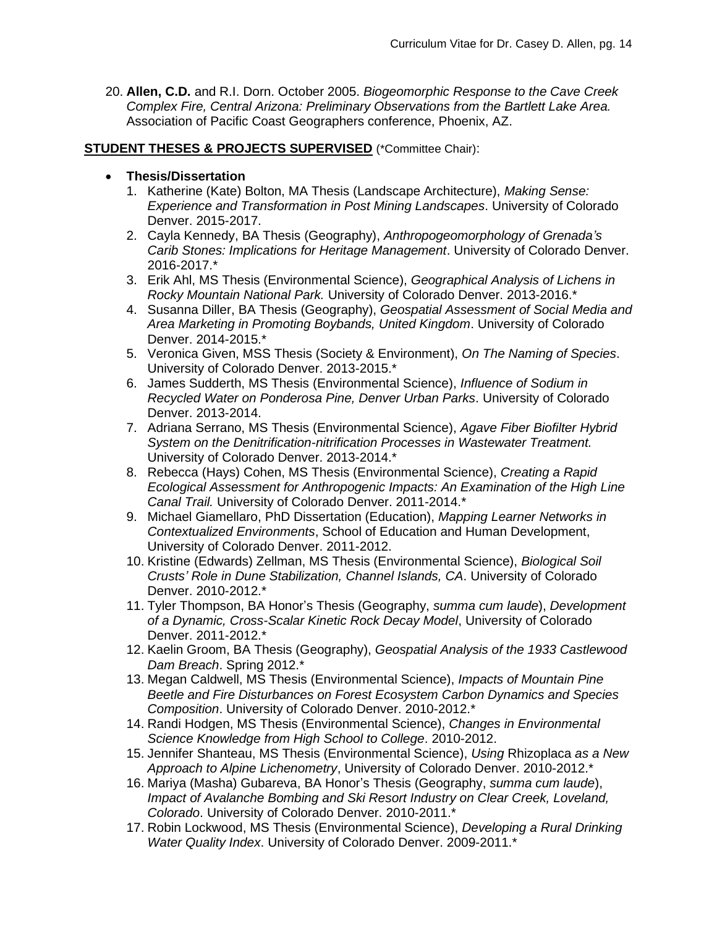20. **Allen, C.D.** and R.I. Dorn. October 2005. *Biogeomorphic Response to the Cave Creek Complex Fire, Central Arizona: Preliminary Observations from the Bartlett Lake Area.* Association of Pacific Coast Geographers conference, Phoenix, AZ.

### **STUDENT THESES & PROJECTS SUPERVISED** (\*Committee Chair):

### • **Thesis/Dissertation**

- 1. Katherine (Kate) Bolton, MA Thesis (Landscape Architecture), *Making Sense: Experience and Transformation in Post Mining Landscapes*. University of Colorado Denver. 2015-2017.
- 2. Cayla Kennedy, BA Thesis (Geography), *Anthropogeomorphology of Grenada's Carib Stones: Implications for Heritage Management*. University of Colorado Denver. 2016-2017.\*
- 3. Erik Ahl, MS Thesis (Environmental Science), *Geographical Analysis of Lichens in Rocky Mountain National Park.* University of Colorado Denver. 2013-2016.\*
- 4. Susanna Diller, BA Thesis (Geography), *Geospatial Assessment of Social Media and Area Marketing in Promoting Boybands, United Kingdom*. University of Colorado Denver. 2014-2015.\*
- 5. Veronica Given, MSS Thesis (Society & Environment), *On The Naming of Species*. University of Colorado Denver. 2013-2015.\*
- 6. James Sudderth, MS Thesis (Environmental Science), *Influence of Sodium in Recycled Water on Ponderosa Pine, Denver Urban Parks*. University of Colorado Denver. 2013-2014.
- 7. Adriana Serrano, MS Thesis (Environmental Science), *Agave Fiber Biofilter Hybrid System on the Denitrification-nitrification Processes in Wastewater Treatment.* University of Colorado Denver. 2013-2014.\*
- 8. Rebecca (Hays) Cohen, MS Thesis (Environmental Science), *Creating a Rapid Ecological Assessment for Anthropogenic Impacts: An Examination of the High Line Canal Trail.* University of Colorado Denver. 2011-2014.\*
- 9. Michael Giamellaro, PhD Dissertation (Education), *Mapping Learner Networks in Contextualized Environments*, School of Education and Human Development, University of Colorado Denver. 2011-2012.
- 10. Kristine (Edwards) Zellman, MS Thesis (Environmental Science), *Biological Soil Crusts' Role in Dune Stabilization, Channel Islands, CA*. University of Colorado Denver. 2010-2012.\*
- 11. Tyler Thompson, BA Honor's Thesis (Geography, *summa cum laude*), *Development of a Dynamic, Cross-Scalar Kinetic Rock Decay Model*, University of Colorado Denver. 2011-2012.\*
- 12. Kaelin Groom, BA Thesis (Geography), *Geospatial Analysis of the 1933 Castlewood Dam Breach*. Spring 2012.\*
- 13. Megan Caldwell, MS Thesis (Environmental Science), *Impacts of Mountain Pine Beetle and Fire Disturbances on Forest Ecosystem Carbon Dynamics and Species Composition*. University of Colorado Denver. 2010-2012.\*
- 14. Randi Hodgen, MS Thesis (Environmental Science), *Changes in Environmental Science Knowledge from High School to College*. 2010-2012.
- 15. Jennifer Shanteau, MS Thesis (Environmental Science), *Using* Rhizoplaca *as a New Approach to Alpine Lichenometry*, University of Colorado Denver. 2010-2012.\*
- 16. Mariya (Masha) Gubareva, BA Honor's Thesis (Geography, *summa cum laude*), *Impact of Avalanche Bombing and Ski Resort Industry on Clear Creek, Loveland, Colorado*. University of Colorado Denver. 2010-2011.\*
- 17. Robin Lockwood, MS Thesis (Environmental Science), *Developing a Rural Drinking Water Quality Index*. University of Colorado Denver. 2009-2011.\*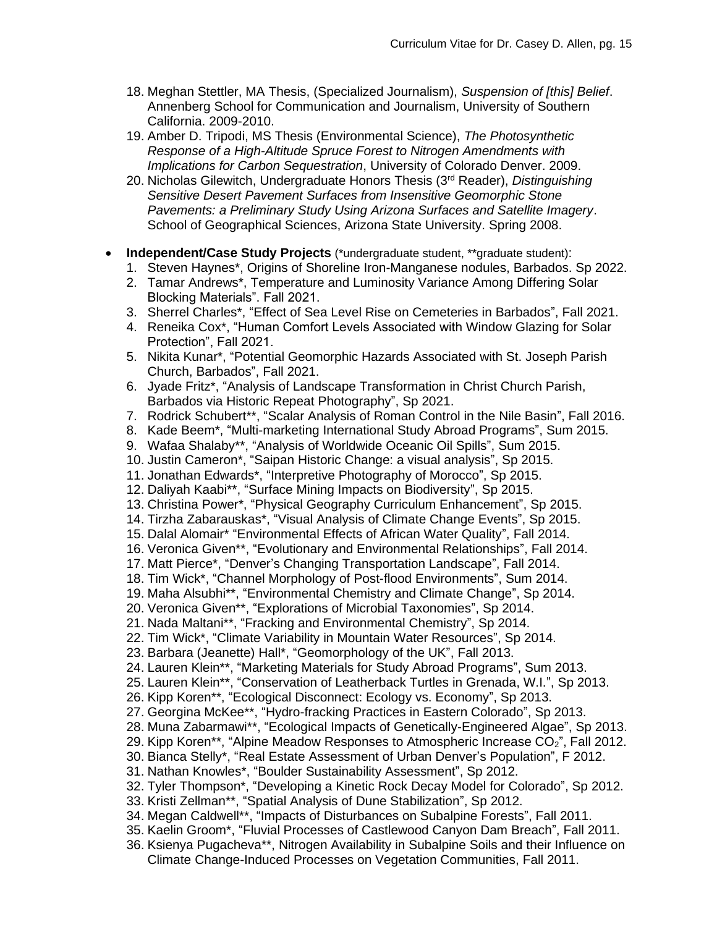- 18. Meghan Stettler, MA Thesis, (Specialized Journalism), *Suspension of [this] Belief*. Annenberg School for Communication and Journalism, University of Southern California. 2009-2010.
- 19. Amber D. Tripodi, MS Thesis (Environmental Science), *The Photosynthetic Response of a High-Altitude Spruce Forest to Nitrogen Amendments with Implications for Carbon Sequestration*, University of Colorado Denver. 2009.
- 20. Nicholas Gilewitch, Undergraduate Honors Thesis (3rd Reader), *Distinguishing Sensitive Desert Pavement Surfaces from Insensitive Geomorphic Stone Pavements: a Preliminary Study Using Arizona Surfaces and Satellite Imagery*. School of Geographical Sciences, Arizona State University. Spring 2008.
- **Independent/Case Study Projects** (\*undergraduate student, \*\*graduate student):
	- 1. Steven Haynes\*, Origins of Shoreline Iron-Manganese nodules, Barbados. Sp 2022.
	- 2. Tamar Andrews\*, Temperature and Luminosity Variance Among Differing Solar Blocking Materials". Fall 2021.
	- 3. Sherrel Charles\*, "Effect of Sea Level Rise on Cemeteries in Barbados", Fall 2021.
	- 4. Reneika Cox\*, "Human Comfort Levels Associated with Window Glazing for Solar Protection", Fall 2021.
	- 5. Nikita Kunar\*, "Potential Geomorphic Hazards Associated with St. Joseph Parish Church, Barbados", Fall 2021.
	- 6. Jyade Fritz\*, "Analysis of Landscape Transformation in Christ Church Parish, Barbados via Historic Repeat Photography", Sp 2021.
	- 7. Rodrick Schubert\*\*, "Scalar Analysis of Roman Control in the Nile Basin", Fall 2016.
	- 8. Kade Beem\*, "Multi-marketing International Study Abroad Programs", Sum 2015.
	- 9. Wafaa Shalaby\*\*, "Analysis of Worldwide Oceanic Oil Spills", Sum 2015.
	- 10. Justin Cameron\*, "Saipan Historic Change: a visual analysis", Sp 2015.
	- 11. Jonathan Edwards\*, "Interpretive Photography of Morocco", Sp 2015.
	- 12. Daliyah Kaabi\*\*, "Surface Mining Impacts on Biodiversity", Sp 2015.
	- 13. Christina Power\*, "Physical Geography Curriculum Enhancement", Sp 2015.
	- 14. Tirzha Zabarauskas\*, "Visual Analysis of Climate Change Events", Sp 2015.
	- 15. Dalal Alomair\* "Environmental Effects of African Water Quality", Fall 2014.
	- 16. Veronica Given\*\*, "Evolutionary and Environmental Relationships", Fall 2014.
	- 17. Matt Pierce\*, "Denver's Changing Transportation Landscape", Fall 2014.
	- 18. Tim Wick\*, "Channel Morphology of Post-flood Environments", Sum 2014.
	- 19. Maha Alsubhi\*\*, "Environmental Chemistry and Climate Change", Sp 2014.
	- 20. Veronica Given\*\*, "Explorations of Microbial Taxonomies", Sp 2014.
	- 21. Nada Maltani\*\*, "Fracking and Environmental Chemistry", Sp 2014.
	- 22. Tim Wick\*, "Climate Variability in Mountain Water Resources", Sp 2014.
	- 23. Barbara (Jeanette) Hall\*, "Geomorphology of the UK", Fall 2013.
	- 24. Lauren Klein\*\*, "Marketing Materials for Study Abroad Programs", Sum 2013.
	- 25. Lauren Klein\*\*, "Conservation of Leatherback Turtles in Grenada, W.I.", Sp 2013.
	- 26. Kipp Koren\*\*, "Ecological Disconnect: Ecology vs. Economy", Sp 2013.
	- 27. Georgina McKee\*\*, "Hydro-fracking Practices in Eastern Colorado", Sp 2013.
	- 28. Muna Zabarmawi\*\*, "Ecological Impacts of Genetically-Engineered Algae", Sp 2013.
	- 29. Kipp Koren\*\*, "Alpine Meadow Responses to Atmospheric Increase  $\tilde{CO_2}$ ", Fall 2012.
	- 30. Bianca Stelly\*, "Real Estate Assessment of Urban Denver's Population", F 2012.
	- 31. Nathan Knowles\*, "Boulder Sustainability Assessment", Sp 2012.
	- 32. Tyler Thompson\*, "Developing a Kinetic Rock Decay Model for Colorado", Sp 2012.
	- 33. Kristi Zellman\*\*, "Spatial Analysis of Dune Stabilization", Sp 2012.
	- 34. Megan Caldwell\*\*, "Impacts of Disturbances on Subalpine Forests", Fall 2011.
	- 35. Kaelin Groom\*, "Fluvial Processes of Castlewood Canyon Dam Breach", Fall 2011.
	- 36. Ksienya Pugacheva\*\*, Nitrogen Availability in Subalpine Soils and their Influence on Climate Change-Induced Processes on Vegetation Communities, Fall 2011.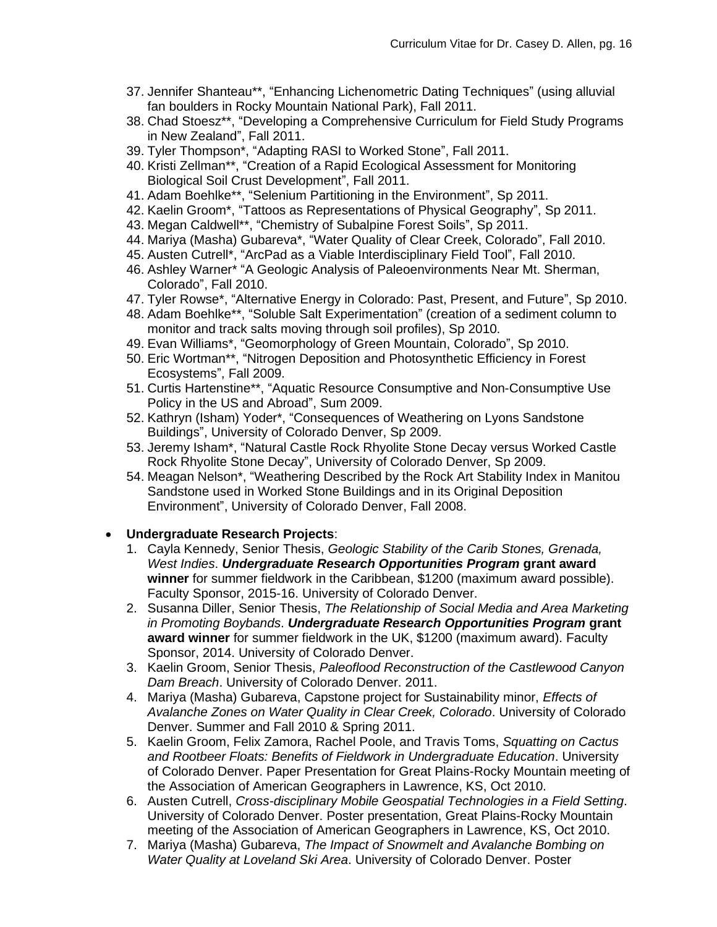- 37. Jennifer Shanteau\*\*, "Enhancing Lichenometric Dating Techniques" (using alluvial fan boulders in Rocky Mountain National Park), Fall 2011.
- 38. Chad Stoesz\*\*, "Developing a Comprehensive Curriculum for Field Study Programs in New Zealand", Fall 2011.
- 39. Tyler Thompson\*, "Adapting RASI to Worked Stone", Fall 2011.
- 40. Kristi Zellman\*\*, "Creation of a Rapid Ecological Assessment for Monitoring Biological Soil Crust Development", Fall 2011.
- 41. Adam Boehlke\*\*, "Selenium Partitioning in the Environment", Sp 2011.
- 42. Kaelin Groom\*, "Tattoos as Representations of Physical Geography", Sp 2011.
- 43. Megan Caldwell\*\*, "Chemistry of Subalpine Forest Soils", Sp 2011.
- 44. Mariya (Masha) Gubareva\*, "Water Quality of Clear Creek, Colorado", Fall 2010.
- 45. Austen Cutrell\*, "ArcPad as a Viable Interdisciplinary Field Tool", Fall 2010.
- 46. Ashley Warner\* "A Geologic Analysis of Paleoenvironments Near Mt. Sherman, Colorado", Fall 2010.
- 47. Tyler Rowse\*, "Alternative Energy in Colorado: Past, Present, and Future", Sp 2010.
- 48. Adam Boehlke\*\*, "Soluble Salt Experimentation" (creation of a sediment column to monitor and track salts moving through soil profiles), Sp 2010.
- 49. Evan Williams\*, "Geomorphology of Green Mountain, Colorado", Sp 2010.
- 50. Eric Wortman\*\*, "Nitrogen Deposition and Photosynthetic Efficiency in Forest Ecosystems", Fall 2009.
- 51. Curtis Hartenstine\*\*, "Aquatic Resource Consumptive and Non-Consumptive Use Policy in the US and Abroad", Sum 2009.
- 52. Kathryn (Isham) Yoder\*, "Consequences of Weathering on Lyons Sandstone Buildings", University of Colorado Denver, Sp 2009.
- 53. Jeremy Isham\*, "Natural Castle Rock Rhyolite Stone Decay versus Worked Castle Rock Rhyolite Stone Decay", University of Colorado Denver, Sp 2009.
- 54. Meagan Nelson\*, "Weathering Described by the Rock Art Stability Index in Manitou Sandstone used in Worked Stone Buildings and in its Original Deposition Environment", University of Colorado Denver, Fall 2008.

# • **Undergraduate Research Projects**:

- 1. Cayla Kennedy, Senior Thesis, *Geologic Stability of the Carib Stones, Grenada, West Indies*. *Undergraduate Research Opportunities Program* **grant award winner** for summer fieldwork in the Caribbean, \$1200 (maximum award possible). Faculty Sponsor, 2015-16. University of Colorado Denver.
- 2. Susanna Diller, Senior Thesis, *The Relationship of Social Media and Area Marketing in Promoting Boybands*. *Undergraduate Research Opportunities Program* **grant award winner** for summer fieldwork in the UK, \$1200 (maximum award). Faculty Sponsor, 2014. University of Colorado Denver.
- 3. Kaelin Groom, Senior Thesis, *Paleoflood Reconstruction of the Castlewood Canyon Dam Breach*. University of Colorado Denver. 2011.
- 4. Mariya (Masha) Gubareva, Capstone project for Sustainability minor, *Effects of Avalanche Zones on Water Quality in Clear Creek, Colorado*. University of Colorado Denver. Summer and Fall 2010 & Spring 2011.
- 5. Kaelin Groom, Felix Zamora, Rachel Poole, and Travis Toms, *Squatting on Cactus and Rootbeer Floats: Benefits of Fieldwork in Undergraduate Education*. University of Colorado Denver. Paper Presentation for Great Plains-Rocky Mountain meeting of the Association of American Geographers in Lawrence, KS, Oct 2010.
- 6. Austen Cutrell, *Cross-disciplinary Mobile Geospatial Technologies in a Field Setting*. University of Colorado Denver. Poster presentation, Great Plains-Rocky Mountain meeting of the Association of American Geographers in Lawrence, KS, Oct 2010.
- 7. Mariya (Masha) Gubareva, *The Impact of Snowmelt and Avalanche Bombing on Water Quality at Loveland Ski Area*. University of Colorado Denver. Poster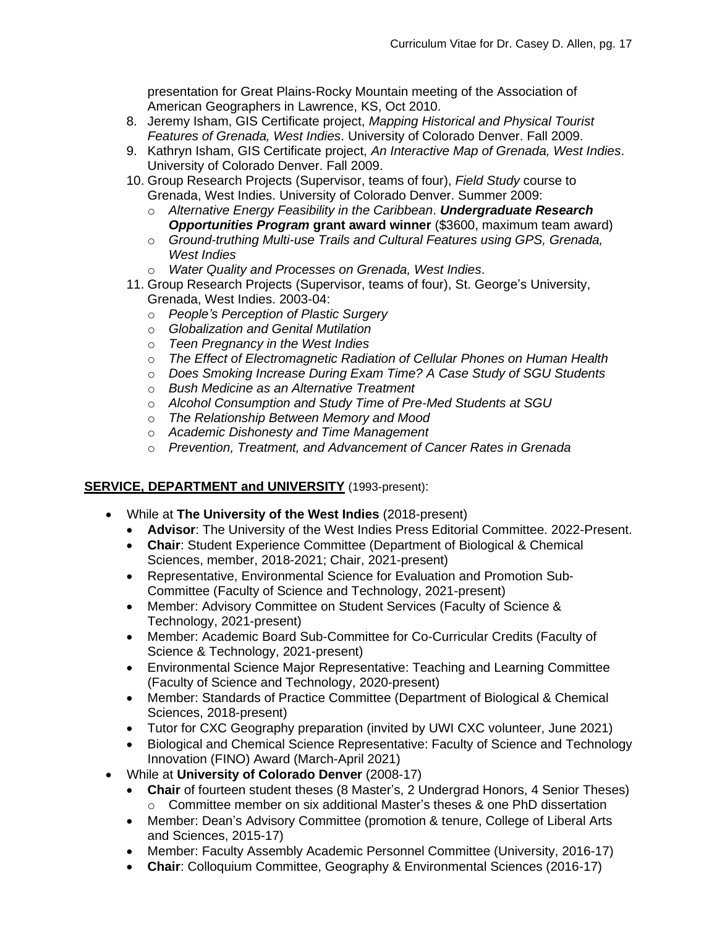presentation for Great Plains-Rocky Mountain meeting of the Association of American Geographers in Lawrence, KS, Oct 2010.

- 8. Jeremy Isham, GIS Certificate project, *Mapping Historical and Physical Tourist Features of Grenada, West Indies*. University of Colorado Denver. Fall 2009.
- 9. Kathryn Isham, GIS Certificate project, *An Interactive Map of Grenada, West Indies*. University of Colorado Denver. Fall 2009.
- 10. Group Research Projects (Supervisor, teams of four), *Field Study* course to Grenada, West Indies. University of Colorado Denver. Summer 2009:
	- o *Alternative Energy Feasibility in the Caribbean*. *Undergraduate Research Opportunities Program* **grant award winner** (\$3600, maximum team award)
	- o *Ground-truthing Multi-use Trails and Cultural Features using GPS, Grenada, West Indies*
	- o *Water Quality and Processes on Grenada, West Indies*.
- 11. Group Research Projects (Supervisor, teams of four), St. George's University, Grenada, West Indies. 2003-04:
	- o *People's Perception of Plastic Surgery*
	- o *Globalization and Genital Mutilation*
	- o *Teen Pregnancy in the West Indies*
	- o *The Effect of Electromagnetic Radiation of Cellular Phones on Human Health*
	- o *Does Smoking Increase During Exam Time? A Case Study of SGU Students*
	- o *Bush Medicine as an Alternative Treatment*
	- o *Alcohol Consumption and Study Time of Pre-Med Students at SGU*
	- o *The Relationship Between Memory and Mood*
	- o *Academic Dishonesty and Time Management*
	- o *Prevention, Treatment, and Advancement of Cancer Rates in Grenada*

# **SERVICE, DEPARTMENT and UNIVERSITY** (1993-present):

- While at **The University of the West Indies** (2018-present)
	- **Advisor**: The University of the West Indies Press Editorial Committee. 2022-Present.
	- **Chair**: Student Experience Committee (Department of Biological & Chemical Sciences, member, 2018-2021; Chair, 2021-present)
	- Representative, Environmental Science for Evaluation and Promotion Sub-Committee (Faculty of Science and Technology, 2021-present)
	- Member: Advisory Committee on Student Services (Faculty of Science & Technology, 2021-present)
	- Member: Academic Board Sub-Committee for Co-Curricular Credits (Faculty of Science & Technology, 2021-present)
	- Environmental Science Major Representative: Teaching and Learning Committee (Faculty of Science and Technology, 2020-present)
	- Member: Standards of Practice Committee (Department of Biological & Chemical Sciences, 2018-present)
	- Tutor for CXC Geography preparation (invited by UWI CXC volunteer, June 2021)
	- Biological and Chemical Science Representative: Faculty of Science and Technology Innovation (FINO) Award (March-April 2021)
- While at **University of Colorado Denver** (2008-17)
	- **Chair** of fourteen student theses (8 Master's, 2 Undergrad Honors, 4 Senior Theses) o Committee member on six additional Master's theses & one PhD dissertation
	- Member: Dean's Advisory Committee (promotion & tenure, College of Liberal Arts and Sciences, 2015-17)
	- Member: Faculty Assembly Academic Personnel Committee (University, 2016-17)
	- **Chair**: Colloquium Committee, Geography & Environmental Sciences (2016-17)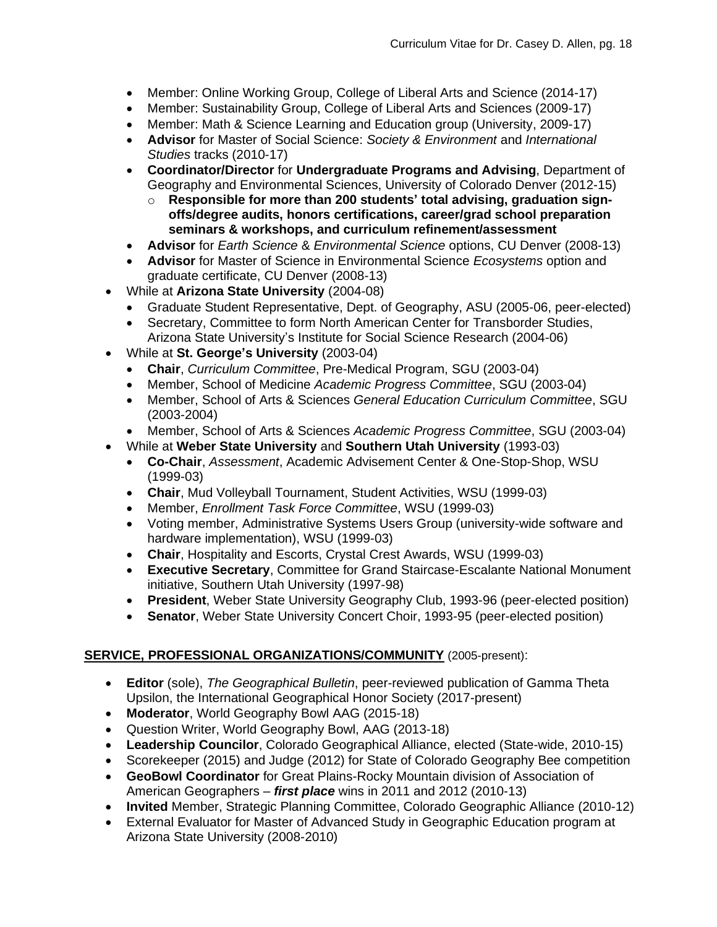- Member: Online Working Group, College of Liberal Arts and Science (2014-17)
- Member: Sustainability Group, College of Liberal Arts and Sciences (2009-17)
- Member: Math & Science Learning and Education group (University, 2009-17)
- **Advisor** for Master of Social Science: *Society & Environment* and *International Studies* tracks (2010-17)
- **Coordinator/Director** for **Undergraduate Programs and Advising**, Department of Geography and Environmental Sciences, University of Colorado Denver (2012-15)
	- o **Responsible for more than 200 students' total advising, graduation signoffs/degree audits, honors certifications, career/grad school preparation seminars & workshops, and curriculum refinement/assessment**
- **Advisor** for *Earth Science* & *Environmental Science* options, CU Denver (2008-13)
- **Advisor** for Master of Science in Environmental Science *Ecosystems* option and graduate certificate, CU Denver (2008-13)
- While at **Arizona State University** (2004-08)
	- Graduate Student Representative, Dept. of Geography, ASU (2005-06, peer-elected)
	- Secretary, Committee to form North American Center for Transborder Studies, Arizona State University's Institute for Social Science Research (2004-06)
- While at **St. George's University** (2003-04)
	- **Chair**, *Curriculum Committee*, Pre-Medical Program, SGU (2003-04)
	- Member, School of Medicine *Academic Progress Committee*, SGU (2003-04)
	- Member, School of Arts & Sciences *General Education Curriculum Committee*, SGU (2003-2004)
	- Member, School of Arts & Sciences *Academic Progress Committee*, SGU (2003-04)
- While at **Weber State University** and **Southern Utah University** (1993-03)
	- **Co-Chair**, *Assessment*, Academic Advisement Center & One-Stop-Shop, WSU (1999-03)
	- **Chair**, Mud Volleyball Tournament, Student Activities, WSU (1999-03)
	- Member, *Enrollment Task Force Committee*, WSU (1999-03)
	- Voting member, Administrative Systems Users Group (university-wide software and hardware implementation), WSU (1999-03)
	- **Chair**, Hospitality and Escorts, Crystal Crest Awards, WSU (1999-03)
	- **Executive Secretary**, Committee for Grand Staircase-Escalante National Monument initiative, Southern Utah University (1997-98)
	- **President**, Weber State University Geography Club, 1993-96 (peer-elected position)
	- **Senator**, Weber State University Concert Choir, 1993-95 (peer-elected position)

### **SERVICE, PROFESSIONAL ORGANIZATIONS/COMMUNITY** (2005-present):

- **Editor** (sole), *The Geographical Bulletin*, peer-reviewed publication of Gamma Theta Upsilon, the International Geographical Honor Society (2017-present)
- **Moderator**, World Geography Bowl AAG (2015-18)
- Question Writer, World Geography Bowl, AAG (2013-18)
- **Leadership Councilor**, Colorado Geographical Alliance, elected (State-wide, 2010-15)
- Scorekeeper (2015) and Judge (2012) for State of Colorado Geography Bee competition
- **GeoBowl Coordinator** for Great Plains-Rocky Mountain division of Association of American Geographers – *first place* wins in 2011 and 2012 (2010-13)
- **Invited** Member, Strategic Planning Committee, Colorado Geographic Alliance (2010-12)
- External Evaluator for Master of Advanced Study in Geographic Education program at Arizona State University (2008-2010)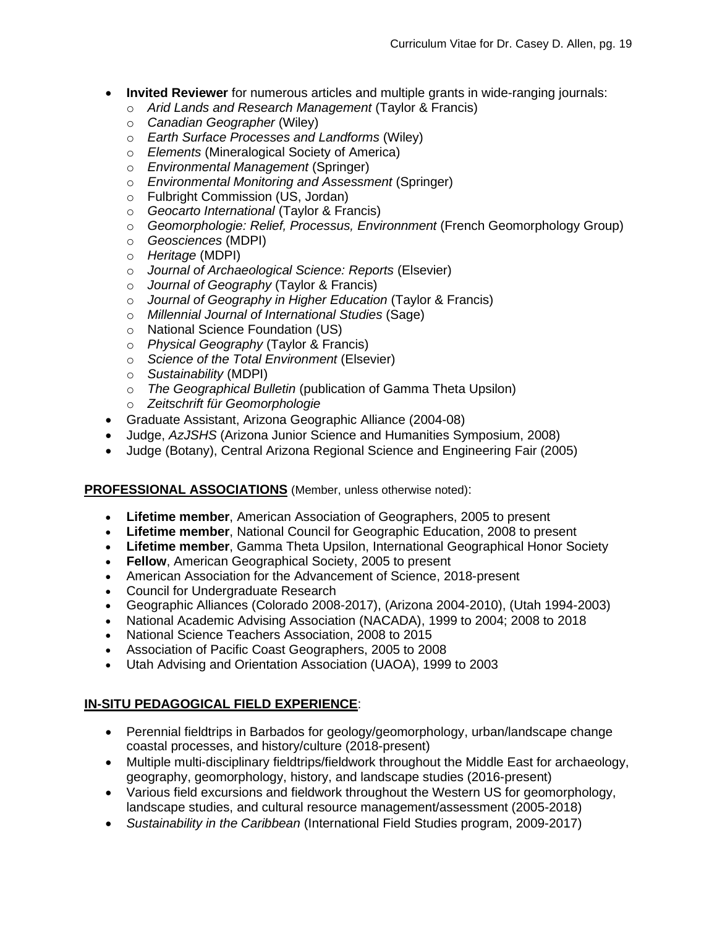- **Invited Reviewer** for numerous articles and multiple grants in wide-ranging journals:
	- o *Arid Lands and Research Management* (Taylor & Francis)
	- o *Canadian Geographer* (Wiley)
	- o *Earth Surface Processes and Landforms* (Wiley)
	- o *Elements* (Mineralogical Society of America)
	- o *Environmental Management* (Springer)
	- o *Environmental Monitoring and Assessment* (Springer)
	- o Fulbright Commission (US, Jordan)
	- o *Geocarto International* (Taylor & Francis)
	- o *Geomorphologie: Relief, Processus, Environnment* (French Geomorphology Group)
	- o *Geosciences* (MDPI)
	- o *Heritage* (MDPI)
	- o *Journal of Archaeological Science: Reports* (Elsevier)
	- o *Journal of Geography* (Taylor & Francis)
	- o *Journal of Geography in Higher Education* (Taylor & Francis)
	- o *Millennial Journal of International Studies* (Sage)
	- o National Science Foundation (US)
	- o *Physical Geography* (Taylor & Francis)
	- o *Science of the Total Environment* (Elsevier)
	- o *Sustainability* (MDPI)
	- o *The Geographical Bulletin* (publication of Gamma Theta Upsilon)
	- o *Zeitschrift für Geomorphologie*
- Graduate Assistant, Arizona Geographic Alliance (2004-08)
- Judge, *AzJSHS* (Arizona Junior Science and Humanities Symposium, 2008)
- Judge (Botany), Central Arizona Regional Science and Engineering Fair (2005)

### **PROFESSIONAL ASSOCIATIONS** (Member, unless otherwise noted):

- **Lifetime member**, American Association of Geographers, 2005 to present
- **Lifetime member**, National Council for Geographic Education, 2008 to present
- **Lifetime member**, Gamma Theta Upsilon, International Geographical Honor Society
- **Fellow**, American Geographical Society, 2005 to present
- American Association for the Advancement of Science, 2018-present
- Council for Undergraduate Research
- Geographic Alliances (Colorado 2008-2017), (Arizona 2004-2010), (Utah 1994-2003)
- National Academic Advising Association (NACADA), 1999 to 2004; 2008 to 2018
- National Science Teachers Association, 2008 to 2015
- Association of Pacific Coast Geographers, 2005 to 2008
- Utah Advising and Orientation Association (UAOA), 1999 to 2003

# **IN-SITU PEDAGOGICAL FIELD EXPERIENCE**:

- Perennial fieldtrips in Barbados for geology/geomorphology, urban/landscape change coastal processes, and history/culture (2018-present)
- Multiple multi-disciplinary fieldtrips/fieldwork throughout the Middle East for archaeology, geography, geomorphology, history, and landscape studies (2016-present)
- Various field excursions and fieldwork throughout the Western US for geomorphology, landscape studies, and cultural resource management/assessment (2005-2018)
- *Sustainability in the Caribbean* (International Field Studies program, 2009-2017)